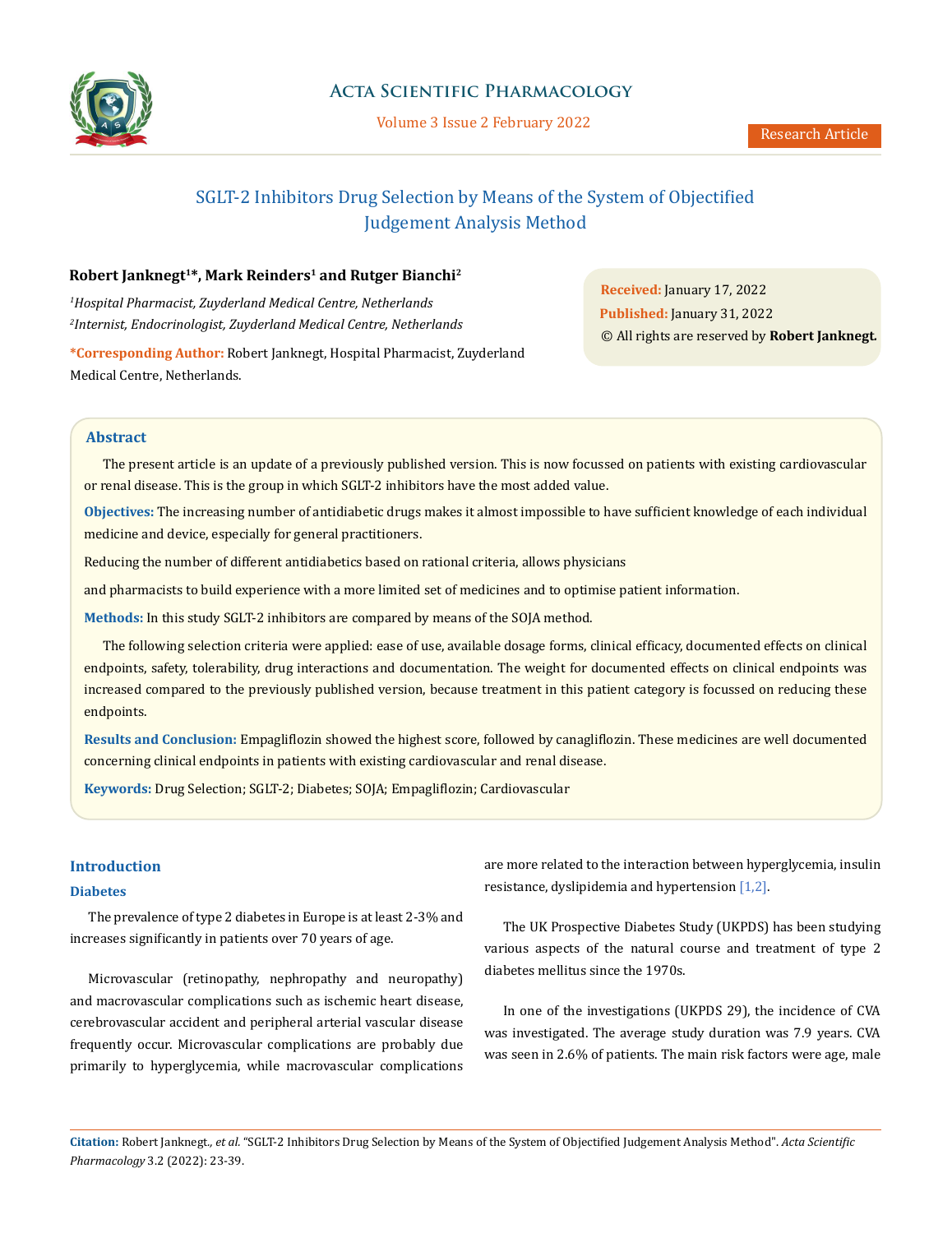

## **Acta Scientific Pharmacology**

Volume 3 Issue 2 February 2022

# SGLT-2 Inhibitors Drug Selection by Means of the System of Objectified Judgement Analysis Method

## **Robert Janknegt1\*, Mark Reinders1 and Rutger Bianchi2**

*1 Hospital Pharmacist, Zuyderland Medical Centre, Netherlands 2 Internist, Endocrinologist, Zuyderland Medical Centre, Netherlands* **Received:** January 17, 2022 **Published:** January 31, 2022 © All rights are reserved by **Robert Janknegt***.*

**\*Corresponding Author:** Robert Janknegt, Hospital Pharmacist, Zuyderland Medical Centre, Netherlands.

## **Abstract**

The present article is an update of a previously published version. This is now focussed on patients with existing cardiovascular or renal disease. This is the group in which SGLT-2 inhibitors have the most added value.

**Objectives:** The increasing number of antidiabetic drugs makes it almost impossible to have sufficient knowledge of each individual medicine and device, especially for general practitioners.

Reducing the number of different antidiabetics based on rational criteria, allows physicians

and pharmacists to build experience with a more limited set of medicines and to optimise patient information.

**Methods:** In this study SGLT-2 inhibitors are compared by means of the SOJA method.

The following selection criteria were applied: ease of use, available dosage forms, clinical efficacy, documented effects on clinical endpoints, safety, tolerability, drug interactions and documentation. The weight for documented effects on clinical endpoints was increased compared to the previously published version, because treatment in this patient category is focussed on reducing these endpoints.

**Results and Conclusion:** Empagliflozin showed the highest score, followed by canagliflozin. These medicines are well documented concerning clinical endpoints in patients with existing cardiovascular and renal disease.

**Keywords:** Drug Selection; SGLT-2; Diabetes; SOJA; Empagliflozin; Cardiovascular

## **Introduction**

### **Diabetes**

The prevalence of type 2 diabetes in Europe is at least 2-3% and increases significantly in patients over 70 years of age.

Microvascular (retinopathy, nephropathy and neuropathy) and macrovascular complications such as ischemic heart disease, cerebrovascular accident and peripheral arterial vascular disease frequently occur. Microvascular complications are probably due primarily to hyperglycemia, while macrovascular complications are more related to the interaction between hyperglycemia, insulin resistance, dyslipidemia and hypertension [1,2].

The UK Prospective Diabetes Study (UKPDS) has been studying various aspects of the natural course and treatment of type 2 diabetes mellitus since the 1970s.

In one of the investigations (UKPDS 29), the incidence of CVA was investigated. The average study duration was 7.9 years. CVA was seen in 2.6% of patients. The main risk factors were age, male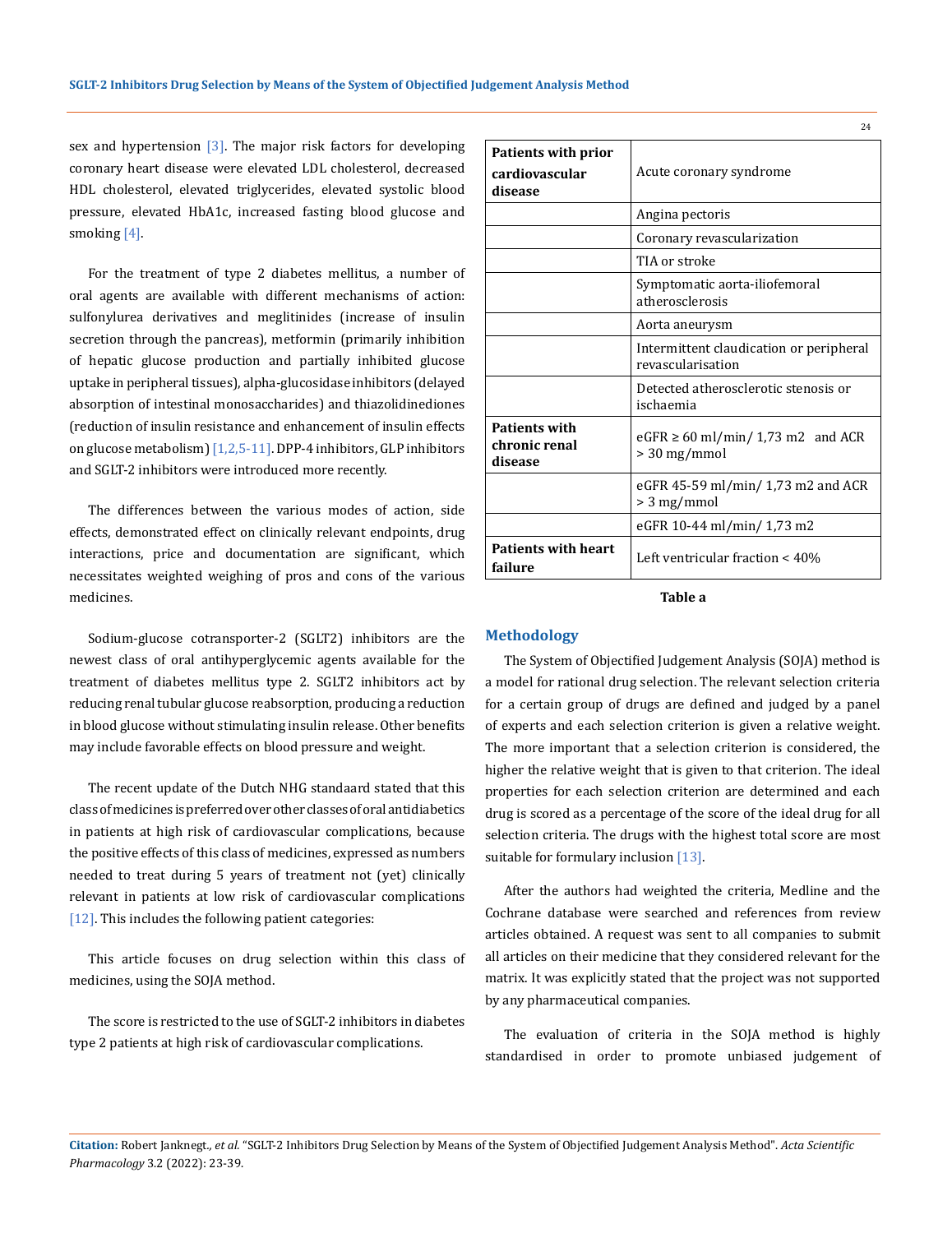sex and hypertension  $[3]$ . The major risk factors for developing coronary heart disease were elevated LDL cholesterol, decreased HDL cholesterol, elevated triglycerides, elevated systolic blood pressure, elevated HbA1c, increased fasting blood glucose and smoking [4].

For the treatment of type 2 diabetes mellitus, a number of oral agents are available with different mechanisms of action: sulfonylurea derivatives and meglitinides (increase of insulin secretion through the pancreas), metformin (primarily inhibition of hepatic glucose production and partially inhibited glucose uptake in peripheral tissues), alpha-glucosidase inhibitors (delayed absorption of intestinal monosaccharides) and thiazolidinediones (reduction of insulin resistance and enhancement of insulin effects on glucose metabolism) [1,2,5-11]. DPP-4 inhibitors, GLP inhibitors and SGLT-2 inhibitors were introduced more recently.

The differences between the various modes of action, side effects, demonstrated effect on clinically relevant endpoints, drug interactions, price and documentation are significant, which necessitates weighted weighing of pros and cons of the various medicines.

Sodium-glucose cotransporter-2 (SGLT2) inhibitors are the newest class of oral antihyperglycemic agents available for the treatment of diabetes mellitus type 2. SGLT2 inhibitors act by reducing renal tubular glucose reabsorption, producing a reduction in blood glucose without stimulating insulin release. Other benefits may include favorable effects on blood pressure and weight.

The recent update of the Dutch NHG standaard stated that this class of medicines is preferred over other classes of oral antidiabetics in patients at high risk of cardiovascular complications, because the positive effects of this class of medicines, expressed as numbers needed to treat during 5 years of treatment not (yet) clinically relevant in patients at low risk of cardiovascular complications [12]. This includes the following patient categories:

This article focuses on drug selection within this class of medicines, using the SOJA method.

The score is restricted to the use of SGLT-2 inhibitors in diabetes type 2 patients at high risk of cardiovascular complications.

| <b>Patients with prior</b><br>cardiovascular<br>disease | Acute coronary syndrome                                      |  |
|---------------------------------------------------------|--------------------------------------------------------------|--|
|                                                         | Angina pectoris                                              |  |
|                                                         | Coronary revascularization                                   |  |
|                                                         | TIA or stroke                                                |  |
|                                                         | Symptomatic aorta-iliofemoral<br>atherosclerosis             |  |
|                                                         | Aorta aneurysm                                               |  |
|                                                         | Intermittent claudication or peripheral<br>revascularisation |  |
|                                                         | Detected atherosclerotic stenosis or<br>ischaemia            |  |
| <b>Patients with</b><br>chronic renal<br>disease        | $eGFR \ge 60$ ml/min/ 1,73 m2 and ACR<br>$> 30$ mg/mmol      |  |
|                                                         | eGFR 45-59 ml/min/ 1,73 m2 and ACR<br>> 3 mg/mmol            |  |
|                                                         | eGFR 10-44 ml/min/ 1,73 m2                                   |  |
| <b>Patients with heart</b><br>failure                   | Left ventricular fraction < 40%                              |  |

 $24$ 

## **Table a**

## **Methodology**

The System of Objectified Judgement Analysis (SOJA) method is a model for rational drug selection. The relevant selection criteria for a certain group of drugs are defined and judged by a panel of experts and each selection criterion is given a relative weight. The more important that a selection criterion is considered, the higher the relative weight that is given to that criterion. The ideal properties for each selection criterion are determined and each drug is scored as a percentage of the score of the ideal drug for all selection criteria. The drugs with the highest total score are most suitable for formulary inclusion [13].

After the authors had weighted the criteria, Medline and the Cochrane database were searched and references from review articles obtained. A request was sent to all companies to submit all articles on their medicine that they considered relevant for the matrix. It was explicitly stated that the project was not supported by any pharmaceutical companies.

The evaluation of criteria in the SOJA method is highly standardised in order to promote unbiased judgement of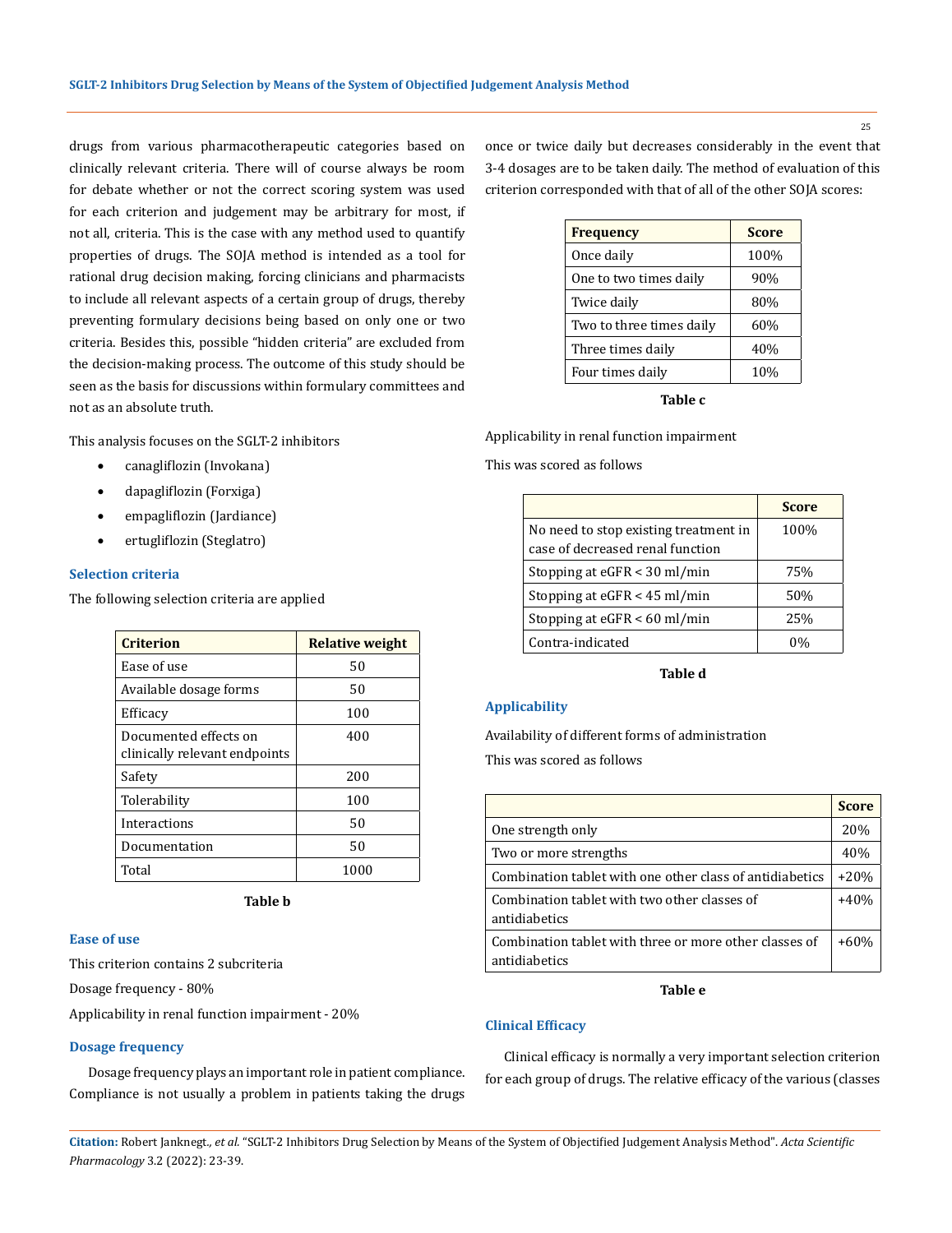drugs from various pharmacotherapeutic categories based on clinically relevant criteria. There will of course always be room for debate whether or not the correct scoring system was used for each criterion and judgement may be arbitrary for most, if not all, criteria. This is the case with any method used to quantify properties of drugs. The SOJA method is intended as a tool for rational drug decision making, forcing clinicians and pharmacists to include all relevant aspects of a certain group of drugs, thereby preventing formulary decisions being based on only one or two criteria. Besides this, possible "hidden criteria" are excluded from the decision-making process. The outcome of this study should be seen as the basis for discussions within formulary committees and not as an absolute truth.

This analysis focuses on the SGLT-2 inhibitors

- canagliflozin (Invokana)
- • dapagliflozin (Forxiga)
- empagliflozin (Jardiance)
- ertugliflozin (Steglatro)

## **Selection criteria**

The following selection criteria are applied

| <b>Criterion</b>                                       | Relative weight |
|--------------------------------------------------------|-----------------|
| Ease of use                                            | 50              |
| Available dosage forms                                 | 50              |
| Efficacy                                               | 100             |
| Documented effects on<br>clinically relevant endpoints | 400             |
| Safety                                                 | 200             |
| Tolerability                                           | 100             |
| Interactions                                           | 50              |
| Documentation                                          | 50              |
| Total                                                  | 1000            |

**Table b**

## **Ease of use**

This criterion contains 2 subcriteria

Dosage frequency - 80%

Applicability in renal function impairment - 20%

### **Dosage frequency**

Dosage frequency plays an important role in patient compliance. Compliance is not usually a problem in patients taking the drugs once or twice daily but decreases considerably in the event that 3-4 dosages are to be taken daily. The method of evaluation of this criterion corresponded with that of all of the other SOJA scores:

| <b>Score</b> |
|--------------|
| 100%         |
| 90%          |
| 80%          |
| 60%          |
| 40%          |
| 10%          |
|              |

**Table c**

Applicability in renal function impairment

This was scored as follows

|                                                                           | <b>Score</b> |
|---------------------------------------------------------------------------|--------------|
| No need to stop existing treatment in<br>case of decreased renal function | 100%         |
| Stopping at eGFR < 30 ml/min                                              | 75%          |
| Stopping at $eGFR < 45$ ml/min                                            | 50%          |
| Stopping at eGFR < 60 ml/min                                              | 25%          |
| Contra-indicated                                                          | $0\%$        |

**Table d**

#### **Applicability**

Availability of different forms of administration This was scored as follows

|                                                                         | <b>Score</b> |
|-------------------------------------------------------------------------|--------------|
| One strength only                                                       | 20%          |
| Two or more strengths                                                   | 40%          |
| Combination tablet with one other class of antidiabetics                | $+20%$       |
| Combination tablet with two other classes of<br>antidiabetics           | $+40%$       |
| Combination tablet with three or more other classes of<br>antidiabetics | $+60%$       |

## **Table e**

### **Clinical Efficacy**

Clinical efficacy is normally a very important selection criterion for each group of drugs. The relative efficacy of the various (classes

**Citation:** Robert Janknegt*., et al.* "SGLT-2 Inhibitors Drug Selection by Means of the System of Objectified Judgement Analysis Method". *Acta Scientific Pharmacology* 3.2 (2022): 23-39.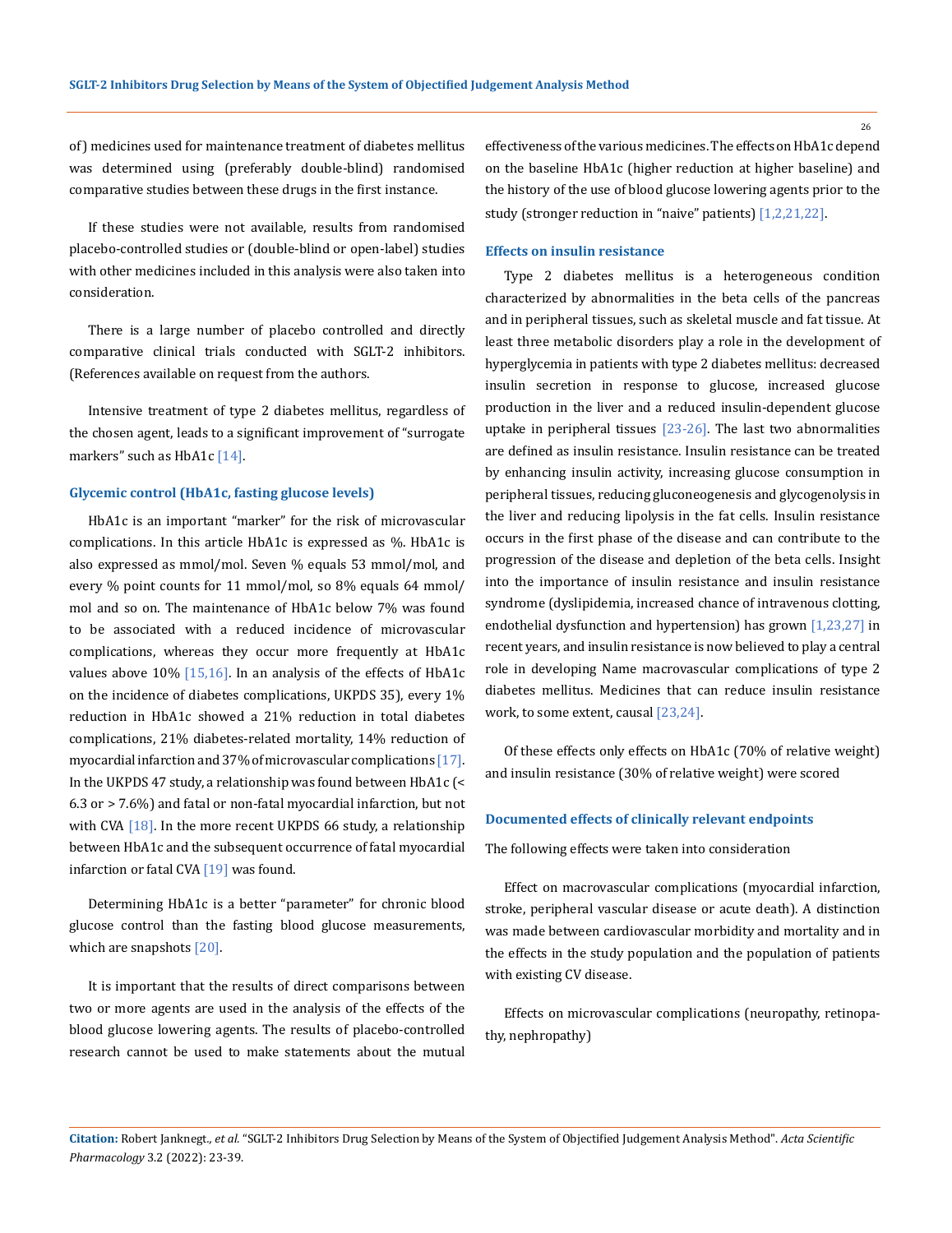of) medicines used for maintenance treatment of diabetes mellitus was determined using (preferably double-blind) randomised comparative studies between these drugs in the first instance.

If these studies were not available, results from randomised placebo-controlled studies or (double-blind or open-label) studies with other medicines included in this analysis were also taken into consideration.

There is a large number of placebo controlled and directly comparative clinical trials conducted with SGLT-2 inhibitors. (References available on request from the authors.

Intensive treatment of type 2 diabetes mellitus, regardless of the chosen agent, leads to a significant improvement of "surrogate markers" such as HbA1c [14].

#### **Glycemic control (HbA1c, fasting glucose levels)**

HbA1c is an important "marker" for the risk of microvascular complications. In this article HbA1c is expressed as %. HbA1c is also expressed as mmol/mol. Seven % equals 53 mmol/mol, and every % point counts for 11 mmol/mol, so 8% equals 64 mmol/ mol and so on. The maintenance of HbA1c below 7% was found to be associated with a reduced incidence of microvascular complications, whereas they occur more frequently at HbA1c values above  $10\%$  [15,16]. In an analysis of the effects of HbA1c on the incidence of diabetes complications, UKPDS 35), every 1% reduction in HbA1c showed a 21% reduction in total diabetes complications, 21% diabetes-related mortality, 14% reduction of myocardial infarction and 37% of microvascular complications [17]. In the UKPDS 47 study, a relationship was found between HbA1c (< 6.3 or > 7.6%) and fatal or non-fatal myocardial infarction, but not with CVA  $[18]$ . In the more recent UKPDS 66 study, a relationship between HbA1c and the subsequent occurrence of fatal myocardial infarction or fatal CVA  $[19]$  was found.

Determining HbA1c is a better "parameter" for chronic blood glucose control than the fasting blood glucose measurements, which are snapshots [20].

It is important that the results of direct comparisons between two or more agents are used in the analysis of the effects of the blood glucose lowering agents. The results of placebo-controlled research cannot be used to make statements about the mutual effectiveness of the various medicines. The effects on HbA1c depend on the baseline HbA1c (higher reduction at higher baseline) and the history of the use of blood glucose lowering agents prior to the study (stronger reduction in "naive" patients) [1,2,21,22].

## **Effects on insulin resistance**

Type 2 diabetes mellitus is a heterogeneous condition characterized by abnormalities in the beta cells of the pancreas and in peripheral tissues, such as skeletal muscle and fat tissue. At least three metabolic disorders play a role in the development of hyperglycemia in patients with type 2 diabetes mellitus: decreased insulin secretion in response to glucose, increased glucose production in the liver and a reduced insulin-dependent glucose uptake in peripheral tissues [23-26]. The last two abnormalities are defined as insulin resistance. Insulin resistance can be treated by enhancing insulin activity, increasing glucose consumption in peripheral tissues, reducing gluconeogenesis and glycogenolysis in the liver and reducing lipolysis in the fat cells. Insulin resistance occurs in the first phase of the disease and can contribute to the progression of the disease and depletion of the beta cells. Insight into the importance of insulin resistance and insulin resistance syndrome (dyslipidemia, increased chance of intravenous clotting, endothelial dysfunction and hypertension) has grown [1,23,27] in recent years, and insulin resistance is now believed to play a central role in developing Name macrovascular complications of type 2 diabetes mellitus. Medicines that can reduce insulin resistance work, to some extent, causal [23,24].

Of these effects only effects on HbA1c (70% of relative weight) and insulin resistance (30% of relative weight) were scored

## **Documented effects of clinically relevant endpoints**

The following effects were taken into consideration

Effect on macrovascular complications (myocardial infarction, stroke, peripheral vascular disease or acute death). A distinction was made between cardiovascular morbidity and mortality and in the effects in the study population and the population of patients with existing CV disease.

Effects on microvascular complications (neuropathy, retinopathy, nephropathy)

**Citation:** Robert Janknegt*., et al.* "SGLT-2 Inhibitors Drug Selection by Means of the System of Objectified Judgement Analysis Method". *Acta Scientific Pharmacology* 3.2 (2022): 23-39.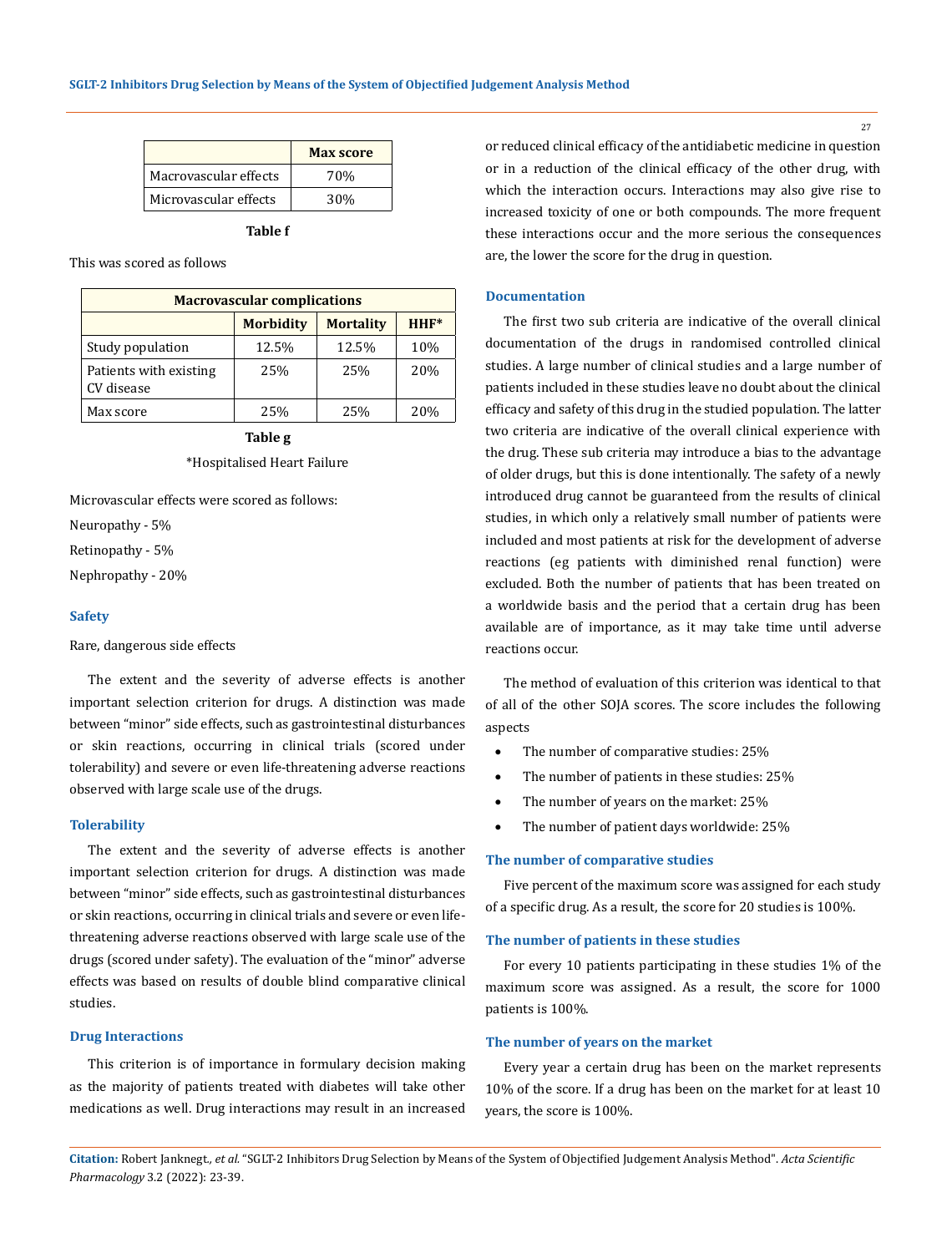|                       | <b>Max score</b> |
|-----------------------|------------------|
| Macrovascular effects | 70%              |
| Microvascular effects | 30%              |

| ''<br>L<br>×<br>٠ |  |
|-------------------|--|
|-------------------|--|

This was scored as follows

| <b>Macrovascular complications</b>             |       |       |     |  |
|------------------------------------------------|-------|-------|-----|--|
| $HHF*$<br><b>Morbidity</b><br><b>Mortality</b> |       |       |     |  |
| Study population                               | 12.5% | 12.5% | 10% |  |
| Patients with existing<br>CV disease           | 25%   | 25%   | 20% |  |
| Max score                                      | 25%   | 25%   | 20% |  |

**Table g** \*Hospitalised Heart Failure

Microvascular effects were scored as follows:

Neuropathy - 5%

Retinopathy - 5%

Nephropathy - 20%

#### **Safety**

Rare, dangerous side effects

The extent and the severity of adverse effects is another important selection criterion for drugs. A distinction was made between "minor" side effects, such as gastrointestinal disturbances or skin reactions, occurring in clinical trials (scored under tolerability) and severe or even life-threatening adverse reactions observed with large scale use of the drugs.

#### **Tolerability**

The extent and the severity of adverse effects is another important selection criterion for drugs. A distinction was made between "minor" side effects, such as gastrointestinal disturbances or skin reactions, occurring in clinical trials and severe or even lifethreatening adverse reactions observed with large scale use of the drugs (scored under safety). The evaluation of the "minor" adverse effects was based on results of double blind comparative clinical studies.

## **Drug Interactions**

This criterion is of importance in formulary decision making as the majority of patients treated with diabetes will take other medications as well. Drug interactions may result in an increased

or reduced clinical efficacy of the antidiabetic medicine in question or in a reduction of the clinical efficacy of the other drug, with which the interaction occurs. Interactions may also give rise to increased toxicity of one or both compounds. The more frequent these interactions occur and the more serious the consequences are, the lower the score for the drug in question.

## **Documentation**

The first two sub criteria are indicative of the overall clinical documentation of the drugs in randomised controlled clinical studies. A large number of clinical studies and a large number of patients included in these studies leave no doubt about the clinical efficacy and safety of this drug in the studied population. The latter two criteria are indicative of the overall clinical experience with the drug. These sub criteria may introduce a bias to the advantage of older drugs, but this is done intentionally. The safety of a newly introduced drug cannot be guaranteed from the results of clinical studies, in which only a relatively small number of patients were included and most patients at risk for the development of adverse reactions (eg patients with diminished renal function) were excluded. Both the number of patients that has been treated on a worldwide basis and the period that a certain drug has been available are of importance, as it may take time until adverse reactions occur.

The method of evaluation of this criterion was identical to that of all of the other SOJA scores. The score includes the following aspects

- The number of comparative studies: 25%
- The number of patients in these studies: 25%
- The number of years on the market: 25%
- The number of patient days worldwide: 25%

### **The number of comparative studies**

Five percent of the maximum score was assigned for each study of a specific drug. As a result, the score for 20 studies is 100%.

## **The number of patients in these studies**

For every 10 patients participating in these studies 1% of the maximum score was assigned. As a result, the score for 1000 patients is 100%.

#### **The number of years on the market**

Every year a certain drug has been on the market represents 10% of the score. If a drug has been on the market for at least 10 years, the score is 100%.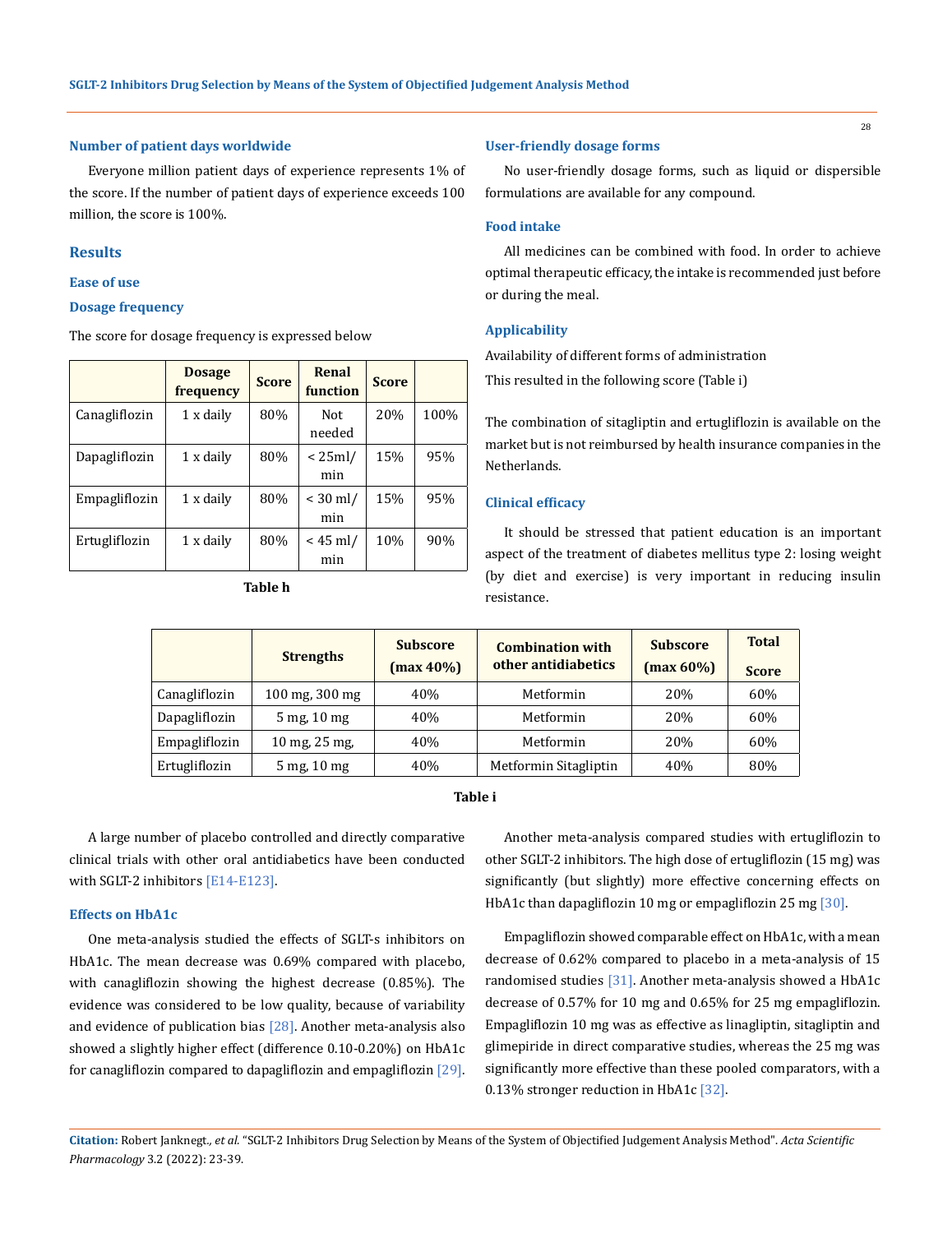#### **Number of patient days worldwide**

Everyone million patient days of experience represents 1% of the score. If the number of patient days of experience exceeds 100 million, the score is 100%.

## **Results**

**Ease of use**

## **Dosage frequency**

The score for dosage frequency is expressed below

|               | <b>Dosage</b><br>frequency | <b>Score</b> | Renal<br>function | <b>Score</b> |      |
|---------------|----------------------------|--------------|-------------------|--------------|------|
| Canagliflozin | 1 x daily                  | 80%          | Not.<br>needed    | 20%          | 100% |
| Dapagliflozin | 1 x daily                  | 80%          | $< 25$ ml/<br>min | 15%          | 95%  |
| Empagliflozin | 1 x daily                  | 80%          | $< 30$ ml/<br>min | 15%          | 95%  |
| Ertugliflozin | 1 x daily                  | 80%          | $<$ 45 ml/<br>min | 10%          | 90%  |

**Table h**

### **User-friendly dosage forms**

No user-friendly dosage forms, such as liquid or dispersible formulations are available for any compound.

## **Food intake**

All medicines can be combined with food. In order to achieve optimal therapeutic efficacy, the intake is recommended just before or during the meal.

## **Applicability**

Availability of different forms of administration This resulted in the following score (Table i)

The combination of sitagliptin and ertugliflozin is available on the market but is not reimbursed by health insurance companies in the Netherlands.

## **Clinical efficacy**

It should be stressed that patient education is an important aspect of the treatment of diabetes mellitus type 2: losing weight (by diet and exercise) is very important in reducing insulin resistance.

|               | <b>Strengths</b> | <b>Subscore</b><br>$(max 40\%)$ | <b>Combination with</b><br>other antidiabetics | <b>Subscore</b><br>$(max 60\%)$ | <b>Total</b><br><b>Score</b> |
|---------------|------------------|---------------------------------|------------------------------------------------|---------------------------------|------------------------------|
| Canagliflozin | 100 mg, 300 mg   | 40%                             | Metformin                                      | 20%                             | 60%                          |
| Dapagliflozin | 5 mg, 10 mg      | 40%                             | Metformin                                      | 20%                             | 60%                          |
| Empagliflozin | 10 mg, $25$ mg,  | 40%                             | Metformin                                      | 20%                             | 60%                          |
| Ertugliflozin | $5$ mg, $10$ mg  | 40%                             | Metformin Sitagliptin                          | 40%                             | 80%                          |

## **Table i**

A large number of placebo controlled and directly comparative clinical trials with other oral antidiabetics have been conducted with SGLT-2 inhibitors [E14-E123].

### **Effects on HbA1c**

One meta-analysis studied the effects of SGLT-s inhibitors on HbA1c. The mean decrease was 0.69% compared with placebo, with canagliflozin showing the highest decrease (0.85%). The evidence was considered to be low quality, because of variability and evidence of publication bias  $[28]$ . Another meta-analysis also showed a slightly higher effect (difference 0.10-0.20%) on HbA1c for canagliflozin compared to dapagliflozin and empagliflozin  $[29]$ .

Another meta-analysis compared studies with ertugliflozin to other SGLT-2 inhibitors. The high dose of ertugliflozin (15 mg) was significantly (but slightly) more effective concerning effects on HbA1c than dapagliflozin 10 mg or empagliflozin 25 mg [30].

Empagliflozin showed comparable effect on HbA1c, with a mean decrease of 0.62% compared to placebo in a meta-analysis of 15 randomised studies [31]. Another meta-analysis showed a HbA1c decrease of 0.57% for 10 mg and 0.65% for 25 mg empagliflozin. Empagliflozin 10 mg was as effective as linagliptin, sitagliptin and glimepiride in direct comparative studies, whereas the 25 mg was significantly more effective than these pooled comparators, with a 0.13% stronger reduction in HbA1c [32].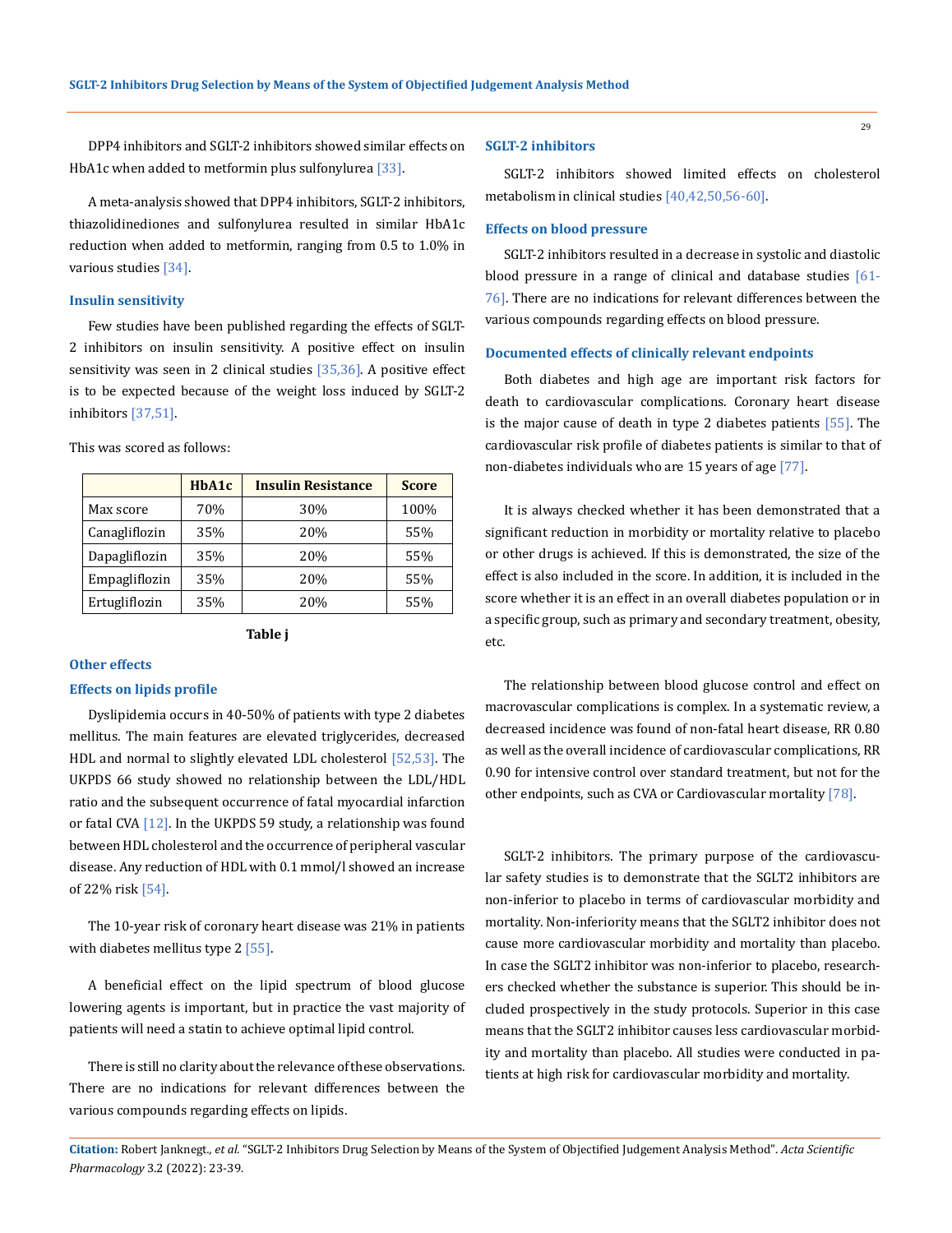DPP4 inhibitors and SGLT-2 inhibitors showed similar effects on HbA1c when added to metformin plus sulfonylurea [33].

A meta-analysis showed that DPP4 inhibitors, SGLT-2 inhibitors, thiazolidinediones and sulfonylurea resulted in similar HbA1c reduction when added to metformin, ranging from 0.5 to 1.0% in various studies [34].

## **Insulin sensitivity**

Few studies have been published regarding the effects of SGLT-2 inhibitors on insulin sensitivity. A positive effect on insulin sensitivity was seen in 2 clinical studies [35,36]. A positive effect is to be expected because of the weight loss induced by SGLT-2 inhibitors [37,51].

|               | HbA1c | <b>Insulin Resistance</b> | <b>Score</b> |
|---------------|-------|---------------------------|--------------|
| Max score     | 70%   | 30%                       | 100%         |
| Canagliflozin | 35%   | 20%                       | 55%          |
| Dapagliflozin | 35%   | 20%                       | 55%          |
| Empagliflozin | 35%   | 20%                       | 55%          |
| Ertugliflozin | 35%   | 20%                       | 55%          |

This was scored as follows:

#### **Table j**

#### **Other effects**

#### **Effects on lipids profile**

Dyslipidemia occurs in 40-50% of patients with type 2 diabetes mellitus. The main features are elevated triglycerides, decreased HDL and normal to slightly elevated LDL cholesterol [52,53]. The UKPDS 66 study showed no relationship between the LDL/HDL ratio and the subsequent occurrence of fatal myocardial infarction or fatal CVA [12]. In the UKPDS 59 study, a relationship was found between HDL cholesterol and the occurrence of peripheral vascular disease. Any reduction of HDL with 0.1 mmol/l showed an increase of 22% risk [54].

The 10-year risk of coronary heart disease was 21% in patients with diabetes mellitus type 2 [55].

A beneficial effect on the lipid spectrum of blood glucose lowering agents is important, but in practice the vast majority of patients will need a statin to achieve optimal lipid control.

There is still no clarity about the relevance of these observations. There are no indications for relevant differences between the various compounds regarding effects on lipids.

#### **SGLT-2 inhibitors**

SGLT-2 inhibitors showed limited effects on cholesterol metabolism in clinical studies [40,42,50,56-60].

## **Effects on blood pressure**

SGLT-2 inhibitors resulted in a decrease in systolic and diastolic blood pressure in a range of clinical and database studies [61-76]. There are no indications for relevant differences between the various compounds regarding effects on blood pressure.

#### **Documented effects of clinically relevant endpoints**

Both diabetes and high age are important risk factors for death to cardiovascular complications. Coronary heart disease is the major cause of death in type 2 diabetes patients [55]. The cardiovascular risk profile of diabetes patients is similar to that of non-diabetes individuals who are 15 years of age [77].

It is always checked whether it has been demonstrated that a significant reduction in morbidity or mortality relative to placebo or other drugs is achieved. If this is demonstrated, the size of the effect is also included in the score. In addition, it is included in the score whether it is an effect in an overall diabetes population or in a specific group, such as primary and secondary treatment, obesity, etc.

The relationship between blood glucose control and effect on macrovascular complications is complex. In a systematic review, a decreased incidence was found of non-fatal heart disease, RR 0.80 as well as the overall incidence of cardiovascular complications, RR 0.90 for intensive control over standard treatment, but not for the other endpoints, such as CVA or Cardiovascular mortality [78].

SGLT-2 inhibitors. The primary purpose of the cardiovascular safety studies is to demonstrate that the SGLT2 inhibitors are non-inferior to placebo in terms of cardiovascular morbidity and mortality. Non-inferiority means that the SGLT2 inhibitor does not cause more cardiovascular morbidity and mortality than placebo. In case the SGLT2 inhibitor was non-inferior to placebo, researchers checked whether the substance is superior. This should be included prospectively in the study protocols. Superior in this case means that the SGLT2 inhibitor causes less cardiovascular morbidity and mortality than placebo. All studies were conducted in patients at high risk for cardiovascular morbidity and mortality.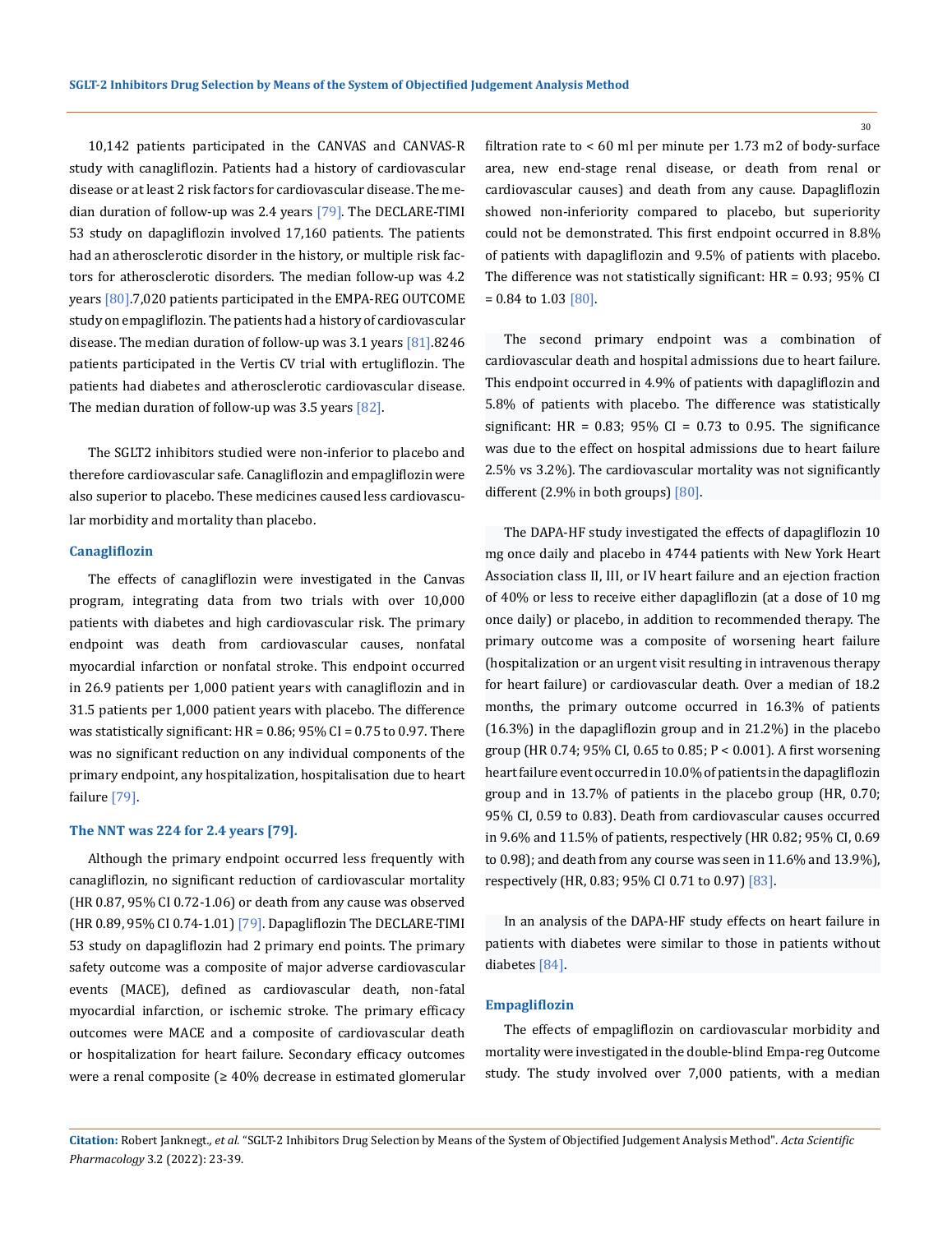10,142 patients participated in the CANVAS and CANVAS-R study with canagliflozin. Patients had a history of cardiovascular disease or at least 2 risk factors for cardiovascular disease. The median duration of follow-up was 2.4 years [79]. The DECLARE-TIMI 53 study on dapagliflozin involved 17,160 patients. The patients had an atherosclerotic disorder in the history, or multiple risk factors for atherosclerotic disorders. The median follow-up was 4.2 years [80].7,020 patients participated in the EMPA-REG OUTCOME study on empagliflozin. The patients had a history of cardiovascular disease. The median duration of follow-up was 3.1 years [81].8246 patients participated in the Vertis CV trial with ertugliflozin. The patients had diabetes and atherosclerotic cardiovascular disease. The median duration of follow-up was 3.5 years [82].

The SGLT2 inhibitors studied were non-inferior to placebo and therefore cardiovascular safe. Canagliflozin and empagliflozin were also superior to placebo. These medicines caused less cardiovascular morbidity and mortality than placebo.

### **Canagliflozin**

The effects of canagliflozin were investigated in the Canvas program, integrating data from two trials with over 10,000 patients with diabetes and high cardiovascular risk. The primary endpoint was death from cardiovascular causes, nonfatal myocardial infarction or nonfatal stroke. This endpoint occurred in 26.9 patients per 1,000 patient years with canagliflozin and in 31.5 patients per 1,000 patient years with placebo. The difference was statistically significant: HR = 0.86; 95% CI = 0.75 to 0.97. There was no significant reduction on any individual components of the primary endpoint, any hospitalization, hospitalisation due to heart failure [79].

## **The NNT was 224 for 2.4 years [79].**

Although the primary endpoint occurred less frequently with canagliflozin, no significant reduction of cardiovascular mortality (HR 0.87, 95% CI 0.72-1.06) or death from any cause was observed (HR 0.89, 95% CI 0.74-1.01) [79]. Dapagliflozin The DECLARE-TIMI 53 study on dapagliflozin had 2 primary end points. The primary safety outcome was a composite of major adverse cardiovascular events (MACE), defined as cardiovascular death, non-fatal myocardial infarction, or ischemic stroke. The primary efficacy outcomes were MACE and a composite of cardiovascular death or hospitalization for heart failure. Secondary efficacy outcomes were a renal composite (≥ 40% decrease in estimated glomerular filtration rate to < 60 ml per minute per 1.73 m2 of body-surface area, new end-stage renal disease, or death from renal or cardiovascular causes) and death from any cause. Dapagliflozin showed non-inferiority compared to placebo, but superiority could not be demonstrated. This first endpoint occurred in 8.8% of patients with dapagliflozin and 9.5% of patients with placebo. The difference was not statistically significant: HR = 0.93; 95% CI = 0.84 to 1.03 [80].

The second primary endpoint was a combination of cardiovascular death and hospital admissions due to heart failure. This endpoint occurred in 4.9% of patients with dapagliflozin and 5.8% of patients with placebo. The difference was statistically significant: HR =  $0.83$ ;  $95\%$  CI =  $0.73$  to 0.95. The significance was due to the effect on hospital admissions due to heart failure 2.5% vs 3.2%). The cardiovascular mortality was not significantly different (2.9% in both groups) [80].

The DAPA-HF study investigated the effects of dapagliflozin 10 mg once daily and placebo in 4744 patients with New York Heart Association class II, III, or IV heart failure and an ejection fraction of 40% or less to receive either dapagliflozin (at a dose of 10 mg once daily) or placebo, in addition to recommended therapy. The primary outcome was a composite of worsening heart failure (hospitalization or an urgent visit resulting in intravenous therapy for heart failure) or cardiovascular death. Over a median of 18.2 months, the primary outcome occurred in 16.3% of patients (16.3%) in the dapagliflozin group and in 21.2%) in the placebo group (HR 0.74; 95% CI, 0.65 to 0.85; P < 0.001). A first worsening heart failure event occurred in 10.0% of patients in the dapagliflozin group and in 13.7% of patients in the placebo group (HR, 0.70; 95% CI, 0.59 to 0.83). Death from cardiovascular causes occurred in 9.6% and 11.5% of patients, respectively (HR 0.82; 95% CI, 0.69 to 0.98); and death from any course was seen in 11.6% and 13.9%), respectively (HR, 0.83; 95% CI 0.71 to 0.97) [83].

In an analysis of the DAPA-HF study effects on heart failure in patients with diabetes were similar to those in patients without diabetes [84].

#### **Empagliflozin**

The effects of empagliflozin on cardiovascular morbidity and mortality were investigated in the double-blind Empa-reg Outcome study. The study involved over 7,000 patients, with a median

**Citation:** Robert Janknegt*., et al.* "SGLT-2 Inhibitors Drug Selection by Means of the System of Objectified Judgement Analysis Method". *Acta Scientific Pharmacology* 3.2 (2022): 23-39.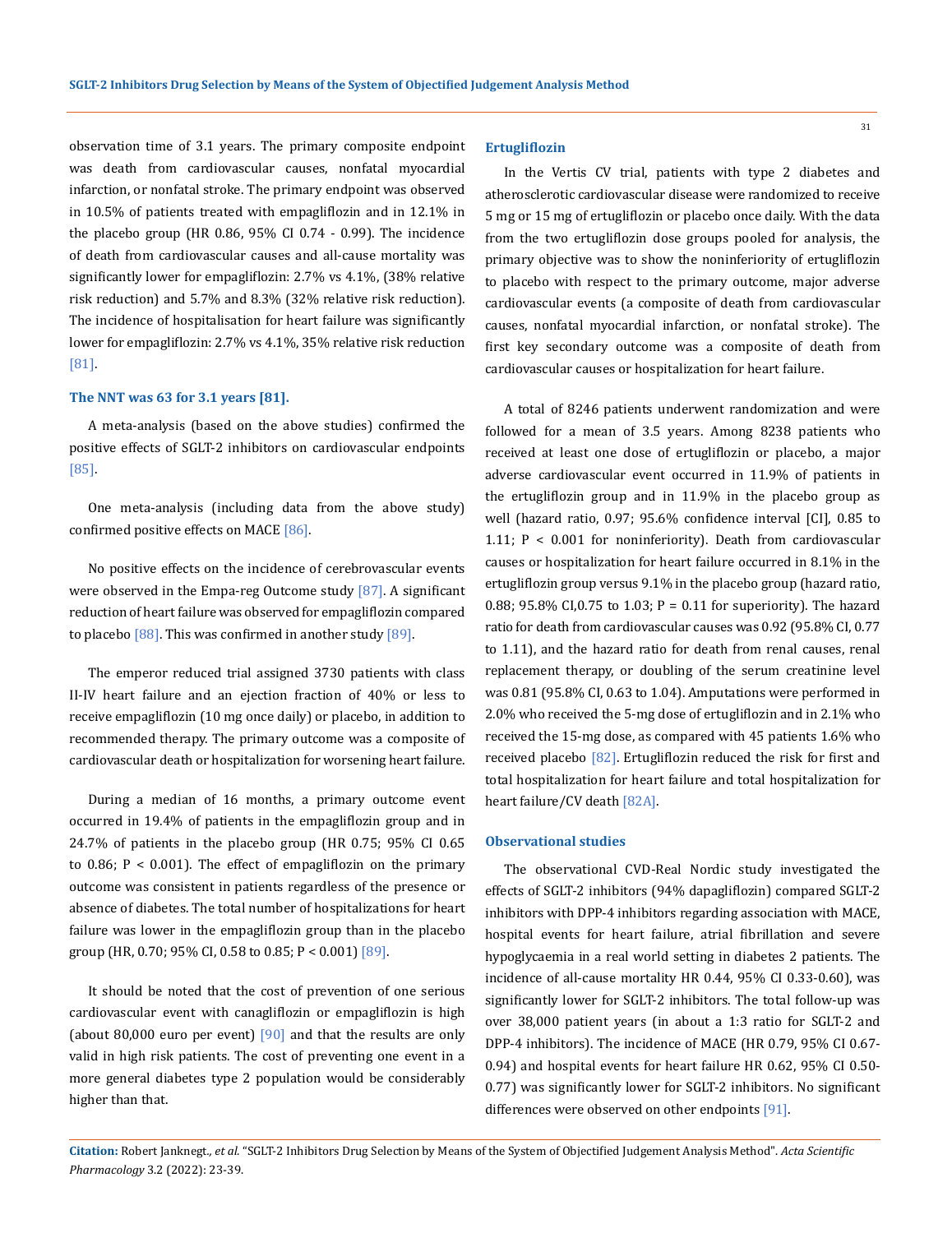observation time of 3.1 years. The primary composite endpoint was death from cardiovascular causes, nonfatal myocardial infarction, or nonfatal stroke. The primary endpoint was observed in 10.5% of patients treated with empagliflozin and in 12.1% in the placebo group (HR 0.86, 95% CI 0.74 - 0.99). The incidence of death from cardiovascular causes and all-cause mortality was significantly lower for empagliflozin: 2.7% vs 4.1%, (38% relative risk reduction) and 5.7% and 8.3% (32% relative risk reduction). The incidence of hospitalisation for heart failure was significantly lower for empagliflozin: 2.7% vs 4.1%, 35% relative risk reduction [81].

### **The NNT was 63 for 3.1 years [81].**

A meta-analysis (based on the above studies) confirmed the positive effects of SGLT-2 inhibitors on cardiovascular endpoints [85].

One meta-analysis (including data from the above study) confirmed positive effects on MACE [86].

No positive effects on the incidence of cerebrovascular events were observed in the Empa-reg Outcome study [87]. A significant reduction of heart failure was observed for empagliflozin compared to placebo  $[88]$ . This was confirmed in another study  $[89]$ .

The emperor reduced trial assigned 3730 patients with class II-IV heart failure and an ejection fraction of 40% or less to receive empagliflozin (10 mg once daily) or placebo, in addition to recommended therapy. The primary outcome was a composite of cardiovascular death or hospitalization for worsening heart failure.

During a median of 16 months, a primary outcome event occurred in 19.4% of patients in the empagliflozin group and in 24.7% of patients in the placebo group (HR 0.75; 95% CI 0.65 to 0.86;  $P < 0.001$ ). The effect of empagliflozin on the primary outcome was consistent in patients regardless of the presence or absence of diabetes. The total number of hospitalizations for heart failure was lower in the empagliflozin group than in the placebo group (HR, 0.70; 95% CI, 0.58 to 0.85;  $P < 0.001$ ) [89].

It should be noted that the cost of prevention of one serious cardiovascular event with canagliflozin or empagliflozin is high (about 80,000 euro per event)  $[90]$  and that the results are only valid in high risk patients. The cost of preventing one event in a more general diabetes type 2 population would be considerably higher than that.

#### **Ertugliflozin**

In the Vertis CV trial, patients with type 2 diabetes and atherosclerotic cardiovascular disease were randomized to receive 5 mg or 15 mg of ertugliflozin or placebo once daily. With the data from the two ertugliflozin dose groups pooled for analysis, the primary objective was to show the noninferiority of ertugliflozin to placebo with respect to the primary outcome, major adverse cardiovascular events (a composite of death from cardiovascular causes, nonfatal myocardial infarction, or nonfatal stroke). The first key secondary outcome was a composite of death from cardiovascular causes or hospitalization for heart failure.

A total of 8246 patients underwent randomization and were followed for a mean of 3.5 years. Among 8238 patients who received at least one dose of ertugliflozin or placebo, a major adverse cardiovascular event occurred in 11.9% of patients in the ertugliflozin group and in 11.9% in the placebo group as well (hazard ratio, 0.97; 95.6% confidence interval [CI], 0.85 to 1.11; P < 0.001 for noninferiority). Death from cardiovascular causes or hospitalization for heart failure occurred in 8.1% in the ertugliflozin group versus 9.1% in the placebo group (hazard ratio, 0.88; 95.8% CI,0.75 to 1.03; P = 0.11 for superiority). The hazard ratio for death from cardiovascular causes was 0.92 (95.8% CI, 0.77 to 1.11), and the hazard ratio for death from renal causes, renal replacement therapy, or doubling of the serum creatinine level was 0.81 (95.8% CI, 0.63 to 1.04). Amputations were performed in 2.0% who received the 5-mg dose of ertugliflozin and in 2.1% who received the 15-mg dose, as compared with 45 patients 1.6% who received placebo [82]. Ertugliflozin reduced the risk for first and total hospitalization for heart failure and total hospitalization for heart failure/CV death [82A].

#### **Observational studies**

The observational CVD-Real Nordic study investigated the effects of SGLT-2 inhibitors (94% dapagliflozin) compared SGLT-2 inhibitors with DPP-4 inhibitors regarding association with MACE, hospital events for heart failure, atrial fibrillation and severe hypoglycaemia in a real world setting in diabetes 2 patients. The incidence of all-cause mortality HR 0.44, 95% CI 0.33-0.60), was significantly lower for SGLT-2 inhibitors. The total follow-up was over 38,000 patient years (in about a 1:3 ratio for SGLT-2 and DPP-4 inhibitors). The incidence of MACE (HR 0.79, 95% CI 0.67- 0.94) and hospital events for heart failure HR 0.62, 95% CI 0.50- 0.77) was significantly lower for SGLT-2 inhibitors. No significant differences were observed on other endpoints [91].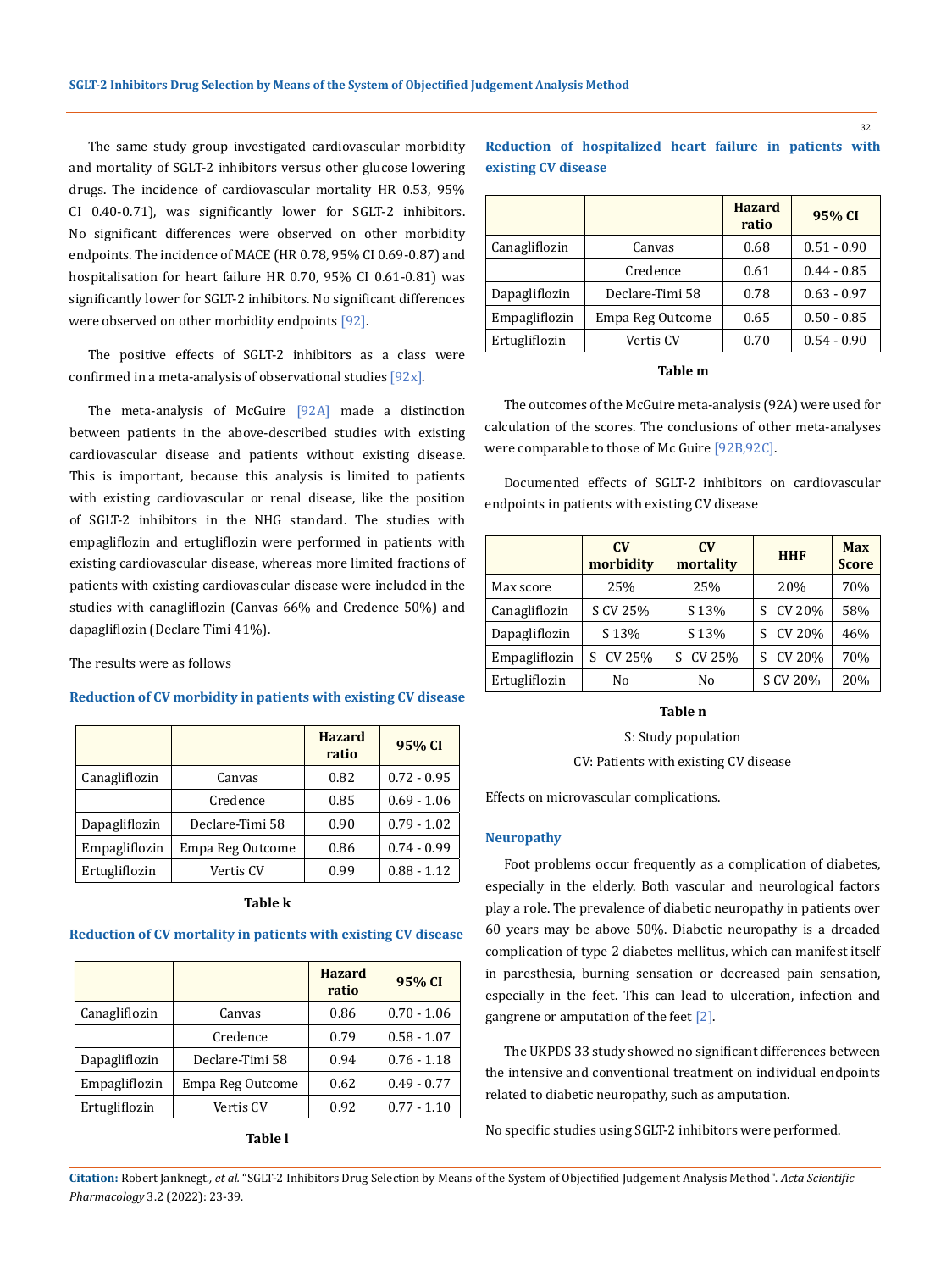The same study group investigated cardiovascular morbidity and mortality of SGLT-2 inhibitors versus other glucose lowering drugs. The incidence of cardiovascular mortality HR 0.53, 95% CI 0.40-0.71), was significantly lower for SGLT-2 inhibitors. No significant differences were observed on other morbidity endpoints. The incidence of MACE (HR 0.78, 95% CI 0.69-0.87) and hospitalisation for heart failure HR 0.70, 95% CI 0.61-0.81) was significantly lower for SGLT-2 inhibitors. No significant differences were observed on other morbidity endpoints [92].

The positive effects of SGLT-2 inhibitors as a class were confirmed in a meta-analysis of observational studies  $[92x]$ .

The meta-analysis of McGuire [92A] made a distinction between patients in the above-described studies with existing cardiovascular disease and patients without existing disease. This is important, because this analysis is limited to patients with existing cardiovascular or renal disease, like the position of SGLT-2 inhibitors in the NHG standard. The studies with empagliflozin and ertugliflozin were performed in patients with existing cardiovascular disease, whereas more limited fractions of patients with existing cardiovascular disease were included in the studies with canagliflozin (Canvas 66% and Credence 50%) and dapagliflozin (Declare Timi 41%).

The results were as follows

## **Reduction of CV morbidity in patients with existing CV disease**

|               |                  | <b>Hazard</b><br>ratio | 95% CI        |
|---------------|------------------|------------------------|---------------|
| Canagliflozin | Canvas           | 0.82                   | $0.72 - 0.95$ |
|               | Credence         | 0.85                   | $0.69 - 1.06$ |
| Dapagliflozin | Declare-Timi 58  | 0.90                   | $0.79 - 1.02$ |
| Empagliflozin | Empa Reg Outcome | 0.86                   | $0.74 - 0.99$ |
| Ertugliflozin | Vertis CV        | 0.99                   | $0.88 - 1.12$ |

#### **Table k**

## **Reduction of CV mortality in patients with existing CV disease**

|               |                  | <b>Hazard</b><br>ratio | 95% CI        |
|---------------|------------------|------------------------|---------------|
| Canagliflozin | Canvas           | 0.86                   | $0.70 - 1.06$ |
|               | Credence         | 0.79                   | $0.58 - 1.07$ |
| Dapagliflozin | Declare-Timi 58  | 0.94                   | $0.76 - 1.18$ |
| Empagliflozin | Empa Reg Outcome | 0.62                   | $0.49 - 0.77$ |
| Ertugliflozin | Vertis CV        | 0.92                   | $0.77 - 1.10$ |

## **Table l**

|                     | Reduction of hospitalized heart failure in patients with |  |  |  |
|---------------------|----------------------------------------------------------|--|--|--|
| existing CV disease |                                                          |  |  |  |

|               |                  | <b>Hazard</b><br>ratio | 95% CI        |
|---------------|------------------|------------------------|---------------|
| Canagliflozin | Canvas           | 0.68                   | $0.51 - 0.90$ |
|               | Credence         | 0.61                   | $0.44 - 0.85$ |
| Dapagliflozin | Declare-Timi 58  | 0.78                   | $0.63 - 0.97$ |
| Empagliflozin | Empa Reg Outcome | 0.65                   | $0.50 - 0.85$ |
| Ertugliflozin | Vertis CV        | 0.70                   | $0.54 - 0.90$ |

## **Table m**

The outcomes of the McGuire meta-analysis (92A) were used for calculation of the scores. The conclusions of other meta-analyses were comparable to those of Mc Guire [92B,92C].

Documented effects of SGLT-2 inhibitors on cardiovascular endpoints in patients with existing CV disease

|               | $\mathbf{C}\mathbf{V}$<br>$C_{V}$<br>morbidity<br>mortality |          | <b>HHF</b>   | <b>Max</b><br><b>Score</b> |
|---------------|-------------------------------------------------------------|----------|--------------|----------------------------|
| Max score     | 25%                                                         | 25%      | 20%          | 70%                        |
| Canagliflozin | S CV 25%                                                    | S 13%    | S CV 20%     | 58%                        |
| Dapagliflozin | S 13%                                                       | S 13%    | CV 20%<br>S. | 46%                        |
| Empagliflozin | S CV 25%                                                    | S CV 25% | S CV 20%     | 70%                        |
| Ertugliflozin | No                                                          | No       | S CV 20%     | 20%                        |

## **Table n**

S: Study population CV: Patients with existing CV disease

Effects on microvascular complications.

## **Neuropathy**

Foot problems occur frequently as a complication of diabetes, especially in the elderly. Both vascular and neurological factors play a role. The prevalence of diabetic neuropathy in patients over 60 years may be above 50%. Diabetic neuropathy is a dreaded complication of type 2 diabetes mellitus, which can manifest itself in paresthesia, burning sensation or decreased pain sensation, especially in the feet. This can lead to ulceration, infection and gangrene or amputation of the feet  $[2]$ .

The UKPDS 33 study showed no significant differences between the intensive and conventional treatment on individual endpoints related to diabetic neuropathy, such as amputation.

No specific studies using SGLT-2 inhibitors were performed.

**Citation:** Robert Janknegt*., et al.* "SGLT-2 Inhibitors Drug Selection by Means of the System of Objectified Judgement Analysis Method". *Acta Scientific Pharmacology* 3.2 (2022): 23-39.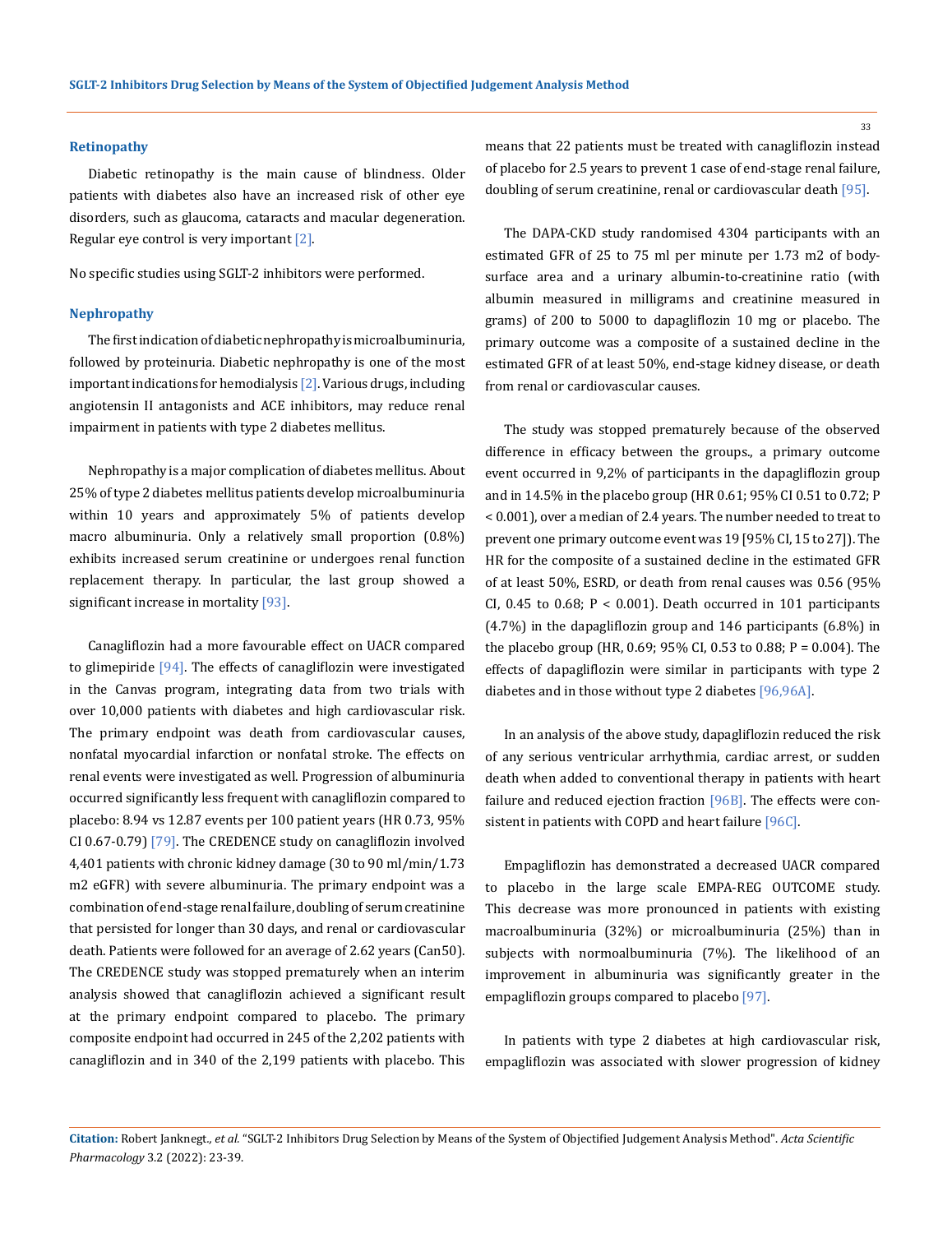#### **Retinopathy**

Diabetic retinopathy is the main cause of blindness. Older patients with diabetes also have an increased risk of other eye disorders, such as glaucoma, cataracts and macular degeneration. Regular eye control is very important [2].

No specific studies using SGLT-2 inhibitors were performed.

#### **Nephropathy**

The first indication of diabetic nephropathy is microalbuminuria, followed by proteinuria. Diabetic nephropathy is one of the most important indications for hemodialysis [2]. Various drugs, including angiotensin II antagonists and ACE inhibitors, may reduce renal impairment in patients with type 2 diabetes mellitus.

Nephropathy is a major complication of diabetes mellitus. About 25% of type 2 diabetes mellitus patients develop microalbuminuria within 10 years and approximately 5% of patients develop macro albuminuria. Only a relatively small proportion (0.8%) exhibits increased serum creatinine or undergoes renal function replacement therapy. In particular, the last group showed a significant increase in mortality [93].

Canagliflozin had a more favourable effect on UACR compared to glimepiride  $[94]$ . The effects of canagliflozin were investigated in the Canvas program, integrating data from two trials with over 10,000 patients with diabetes and high cardiovascular risk. The primary endpoint was death from cardiovascular causes, nonfatal myocardial infarction or nonfatal stroke. The effects on renal events were investigated as well. Progression of albuminuria occurred significantly less frequent with canagliflozin compared to placebo: 8.94 vs 12.87 events per 100 patient years (HR 0.73, 95% CI 0.67-0.79) [79]. The CREDENCE study on canagliflozin involved 4,401 patients with chronic kidney damage (30 to 90 ml/min/1.73 m2 eGFR) with severe albuminuria. The primary endpoint was a combination of end-stage renal failure, doubling of serum creatinine that persisted for longer than 30 days, and renal or cardiovascular death. Patients were followed for an average of 2.62 years (Can50). The CREDENCE study was stopped prematurely when an interim analysis showed that canagliflozin achieved a significant result at the primary endpoint compared to placebo. The primary composite endpoint had occurred in 245 of the 2,202 patients with canagliflozin and in 340 of the 2,199 patients with placebo. This

means that 22 patients must be treated with canagliflozin instead of placebo for 2.5 years to prevent 1 case of end-stage renal failure, doubling of serum creatinine, renal or cardiovascular death [95].

The DAPA-CKD study randomised 4304 participants with an estimated GFR of 25 to 75 ml per minute per 1.73 m2 of bodysurface area and a urinary albumin-to-creatinine ratio (with albumin measured in milligrams and creatinine measured in grams) of 200 to 5000 to dapagliflozin 10 mg or placebo. The primary outcome was a composite of a sustained decline in the estimated GFR of at least 50%, end-stage kidney disease, or death from renal or cardiovascular causes.

The study was stopped prematurely because of the observed difference in efficacy between the groups., a primary outcome event occurred in 9,2% of participants in the dapagliflozin group and in 14.5% in the placebo group (HR 0.61; 95% CI 0.51 to 0.72; P < 0.001), over a median of 2.4 years. The number needed to treat to prevent one primary outcome event was 19 [95% CI, 15 to 27]). The HR for the composite of a sustained decline in the estimated GFR of at least 50%, ESRD, or death from renal causes was 0.56 (95% CI, 0.45 to 0.68;  $P < 0.001$ ). Death occurred in 101 participants (4.7%) in the dapagliflozin group and 146 participants (6.8%) in the placebo group (HR, 0.69; 95% CI, 0.53 to 0.88; P = 0.004). The effects of dapagliflozin were similar in participants with type 2 diabetes and in those without type 2 diabetes [96,96A].

In an analysis of the above study, dapagliflozin reduced the risk of any serious ventricular arrhythmia, cardiac arrest, or sudden death when added to conventional therapy in patients with heart failure and reduced ejection fraction [96B]. The effects were consistent in patients with COPD and heart failure [96C].

Empagliflozin has demonstrated a decreased UACR compared to placebo in the large scale EMPA-REG OUTCOME study. This decrease was more pronounced in patients with existing macroalbuminuria (32%) or microalbuminuria (25%) than in subjects with normoalbuminuria (7%). The likelihood of an improvement in albuminuria was significantly greater in the empagliflozin groups compared to placebo [97].

In patients with type 2 diabetes at high cardiovascular risk, empagliflozin was associated with slower progression of kidney

**Citation:** Robert Janknegt*., et al.* "SGLT-2 Inhibitors Drug Selection by Means of the System of Objectified Judgement Analysis Method". *Acta Scientific Pharmacology* 3.2 (2022): 23-39.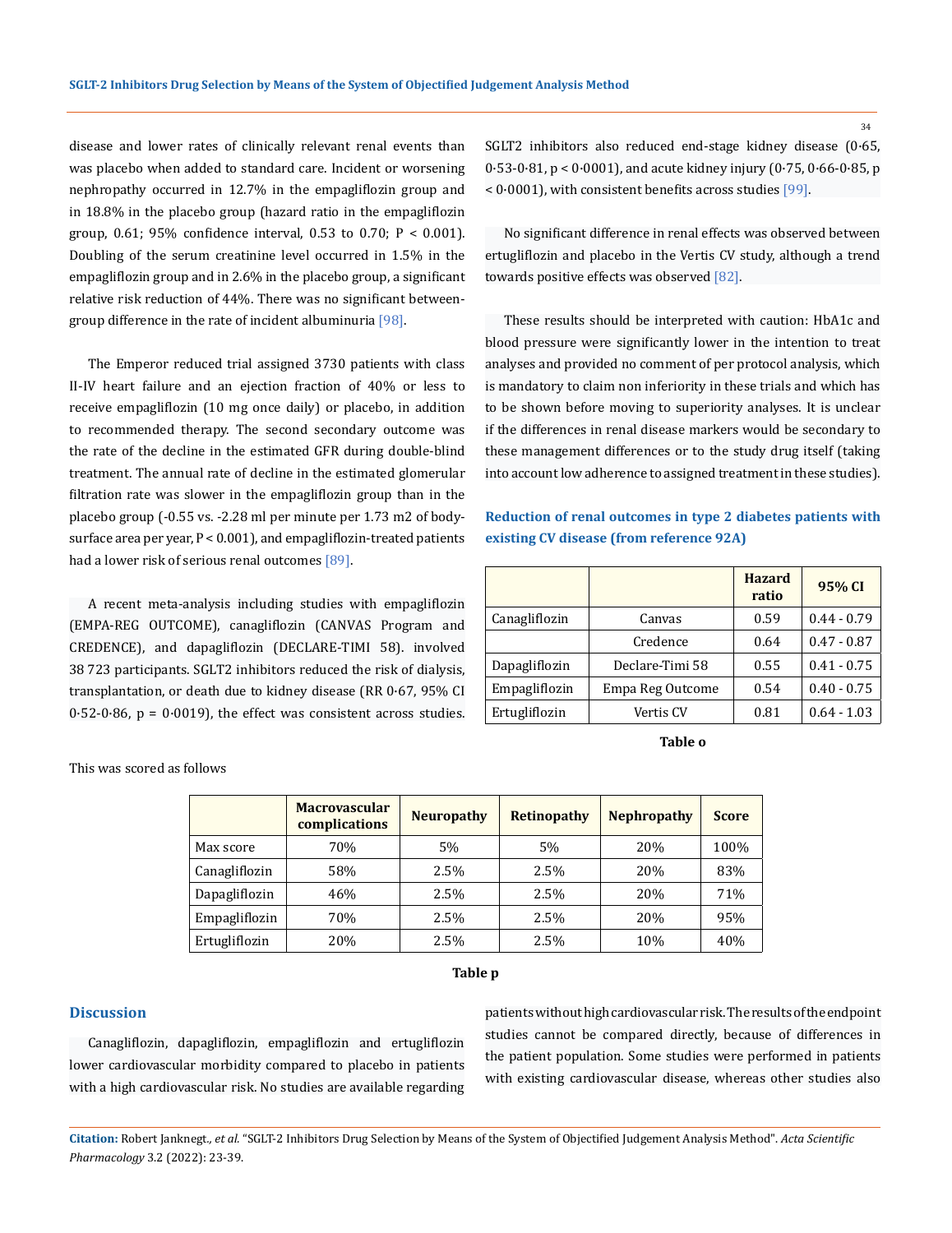disease and lower rates of clinically relevant renal events than was placebo when added to standard care. Incident or worsening nephropathy occurred in 12.7% in the empagliflozin group and in 18.8% in the placebo group (hazard ratio in the empagliflozin group, 0.61; 95% confidence interval, 0.53 to 0.70;  $P < 0.001$ ). Doubling of the serum creatinine level occurred in 1.5% in the empagliflozin group and in 2.6% in the placebo group, a significant relative risk reduction of 44%. There was no significant betweengroup difference in the rate of incident albuminuria [98].

The Emperor reduced trial assigned 3730 patients with class II-IV heart failure and an ejection fraction of 40% or less to receive empagliflozin (10 mg once daily) or placebo, in addition to recommended therapy. The second secondary outcome was the rate of the decline in the estimated GFR during double-blind treatment. The annual rate of decline in the estimated glomerular filtration rate was slower in the empagliflozin group than in the placebo group (-0.55 vs. -2.28 ml per minute per 1.73 m2 of bodysurface area per year, P < 0.001), and empagliflozin-treated patients had a lower risk of serious renal outcomes [89].

A recent meta-analysis including studies with empagliflozin (EMPA-REG OUTCOME), canagliflozin (CANVAS Program and CREDENCE), and dapagliflozin (DECLARE-TIMI 58). involved 38 723 participants. SGLT2 inhibitors reduced the risk of dialysis, transplantation, or death due to kidney disease (RR 0·67, 95% CI  $0.52-0.86$ ,  $p = 0.0019$ , the effect was consistent across studies. SGLT2 inhibitors also reduced end-stage kidney disease (0·65, 0·53-0·81, p < 0·0001), and acute kidney injury (0·75, 0·66-0·85, p < 0·0001), with consistent benefits across studies [99].

No significant difference in renal effects was observed between ertugliflozin and placebo in the Vertis CV study, although a trend towards positive effects was observed [82].

These results should be interpreted with caution: HbA1c and blood pressure were significantly lower in the intention to treat analyses and provided no comment of per protocol analysis, which is mandatory to claim non inferiority in these trials and which has to be shown before moving to superiority analyses. It is unclear if the differences in renal disease markers would be secondary to these management differences or to the study drug itself (taking into account low adherence to assigned treatment in these studies).

## **Reduction of renal outcomes in type 2 diabetes patients with existing CV disease (from reference 92A)**

|               |                  | <b>Hazard</b><br>ratio | 95% CI        |
|---------------|------------------|------------------------|---------------|
| Canagliflozin | Canvas           | 0.59                   | $0.44 - 0.79$ |
|               | Credence         | 0.64                   | $0.47 - 0.87$ |
| Dapagliflozin | Declare-Timi 58  | 0.55                   | $0.41 - 0.75$ |
| Empagliflozin | Empa Reg Outcome | 0.54                   | $0.40 - 0.75$ |
| Ertugliflozin | Vertis CV        | 0.81                   | $0.64 - 1.03$ |

**Table o**

|               | <b>Macrovascular</b><br>complications | <b>Neuropathy</b> | Retinopathy | <b>Nephropathy</b> | <b>Score</b> |
|---------------|---------------------------------------|-------------------|-------------|--------------------|--------------|
| Max score     | 70%                                   | 5%                | 5%          | 20%                | 100%         |
| Canagliflozin | 58%                                   | 2.5%              | 2.5%        | 20%                | 83%          |
| Dapagliflozin | 46%                                   | 2.5%              | 2.5%        | 20%                | 71%          |
| Empagliflozin | 70%                                   | 2.5%              | 2.5%        | 20%                | 95%          |
| Ertugliflozin | 20%                                   | 2.5%              | 2.5%        | 10%                | 40%          |

#### **Table p**

## **Discussion**

This was scored as follows

Canagliflozin, dapagliflozin, empagliflozin and ertugliflozin lower cardiovascular morbidity compared to placebo in patients with a high cardiovascular risk. No studies are available regarding patients without high cardiovascular risk. The results of the endpoint studies cannot be compared directly, because of differences in the patient population. Some studies were performed in patients with existing cardiovascular disease, whereas other studies also

**Citation:** Robert Janknegt*., et al.* "SGLT-2 Inhibitors Drug Selection by Means of the System of Objectified Judgement Analysis Method". *Acta Scientific Pharmacology* 3.2 (2022): 23-39.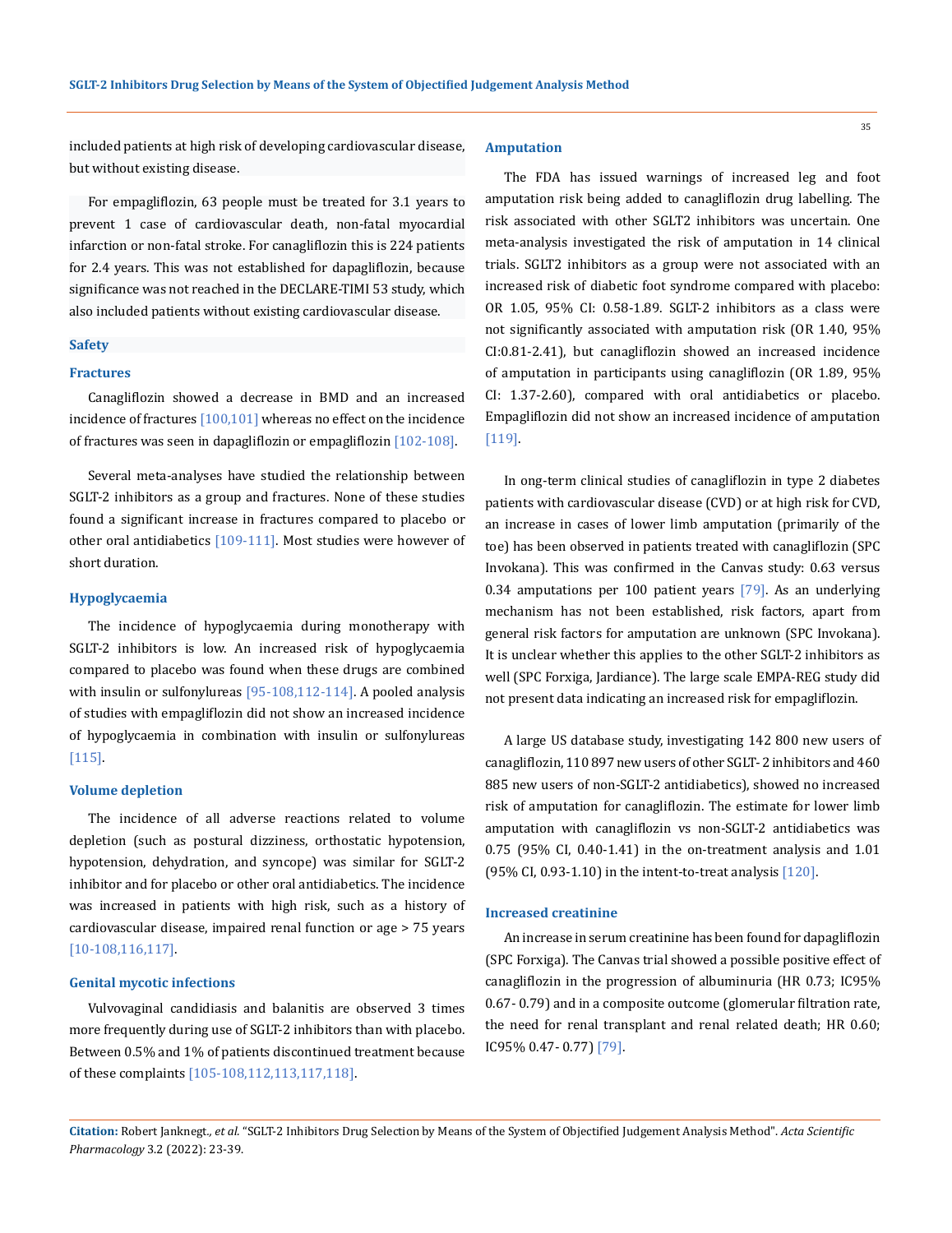included patients at high risk of developing cardiovascular disease, but without existing disease.

For empagliflozin, 63 people must be treated for 3.1 years to prevent 1 case of cardiovascular death, non-fatal myocardial infarction or non-fatal stroke. For canagliflozin this is 224 patients for 2.4 years. This was not established for dapagliflozin, because significance was not reached in the DECLARE-TIMI 53 study, which also included patients without existing cardiovascular disease.

#### **Safety**

#### **Fractures**

Canagliflozin showed a decrease in BMD and an increased incidence of fractures  $[100, 101]$  whereas no effect on the incidence of fractures was seen in dapagliflozin or empagliflozin [102-108].

Several meta-analyses have studied the relationship between SGLT-2 inhibitors as a group and fractures. None of these studies found a significant increase in fractures compared to placebo or other oral antidiabetics [109-111]. Most studies were however of short duration.

### **Hypoglycaemia**

The incidence of hypoglycaemia during monotherapy with SGLT-2 inhibitors is low. An increased risk of hypoglycaemia compared to placebo was found when these drugs are combined with insulin or sulfonylureas [95-108,112-114]. A pooled analysis of studies with empagliflozin did not show an increased incidence of hypoglycaemia in combination with insulin or sulfonylureas [115].

### **Volume depletion**

The incidence of all adverse reactions related to volume depletion (such as postural dizziness, orthostatic hypotension, hypotension, dehydration, and syncope) was similar for SGLT-2 inhibitor and for placebo or other oral antidiabetics. The incidence was increased in patients with high risk, such as a history of cardiovascular disease, impaired renal function or age > 75 years [10-108,116,117].

## **Genital mycotic infections**

Vulvovaginal candidiasis and balanitis are observed 3 times more frequently during use of SGLT-2 inhibitors than with placebo. Between 0.5% and 1% of patients discontinued treatment because of these complaints [105-108,112,113,117,118].

#### **Amputation**

The FDA has issued warnings of increased leg and foot amputation risk being added to canagliflozin drug labelling. The risk associated with other SGLT2 inhibitors was uncertain. One meta-analysis investigated the risk of amputation in 14 clinical trials. SGLT2 inhibitors as a group were not associated with an increased risk of diabetic foot syndrome compared with placebo: OR 1.05, 95% CI: 0.58-1.89. SGLT-2 inhibitors as a class were not significantly associated with amputation risk (OR 1.40, 95% CI:0.81-2.41), but canagliflozin showed an increased incidence of amputation in participants using canagliflozin (OR 1.89, 95% CI: 1.37-2.60), compared with oral antidiabetics or placebo. Empagliflozin did not show an increased incidence of amputation [119].

In ong-term clinical studies of canagliflozin in type 2 diabetes patients with cardiovascular disease (CVD) or at high risk for CVD, an increase in cases of lower limb amputation (primarily of the toe) has been observed in patients treated with canagliflozin (SPC Invokana). This was confirmed in the Canvas study: 0.63 versus 0.34 amputations per 100 patient years [79]. As an underlying mechanism has not been established, risk factors, apart from general risk factors for amputation are unknown (SPC Invokana). It is unclear whether this applies to the other SGLT-2 inhibitors as well (SPC Forxiga, Jardiance). The large scale EMPA-REG study did not present data indicating an increased risk for empagliflozin.

A large US database study, investigating 142 800 new users of canagliflozin, 110 897 new users of other SGLT- 2 inhibitors and 460 885 new users of non-SGLT-2 antidiabetics), showed no increased risk of amputation for canagliflozin. The estimate for lower limb amputation with canagliflozin vs non-SGLT-2 antidiabetics was 0.75 (95% CI, 0.40-1.41) in the on-treatment analysis and 1.01 (95% CI, 0.93-1.10) in the intent-to-treat analysis [120].

#### **Increased creatinine**

An increase in serum creatinine has been found for dapagliflozin (SPC Forxiga). The Canvas trial showed a possible positive effect of canagliflozin in the progression of albuminuria (HR 0.73; IC95% 0.67- 0.79) and in a composite outcome (glomerular filtration rate, the need for renal transplant and renal related death; HR 0.60; IC95% 0.47- 0.77) [79].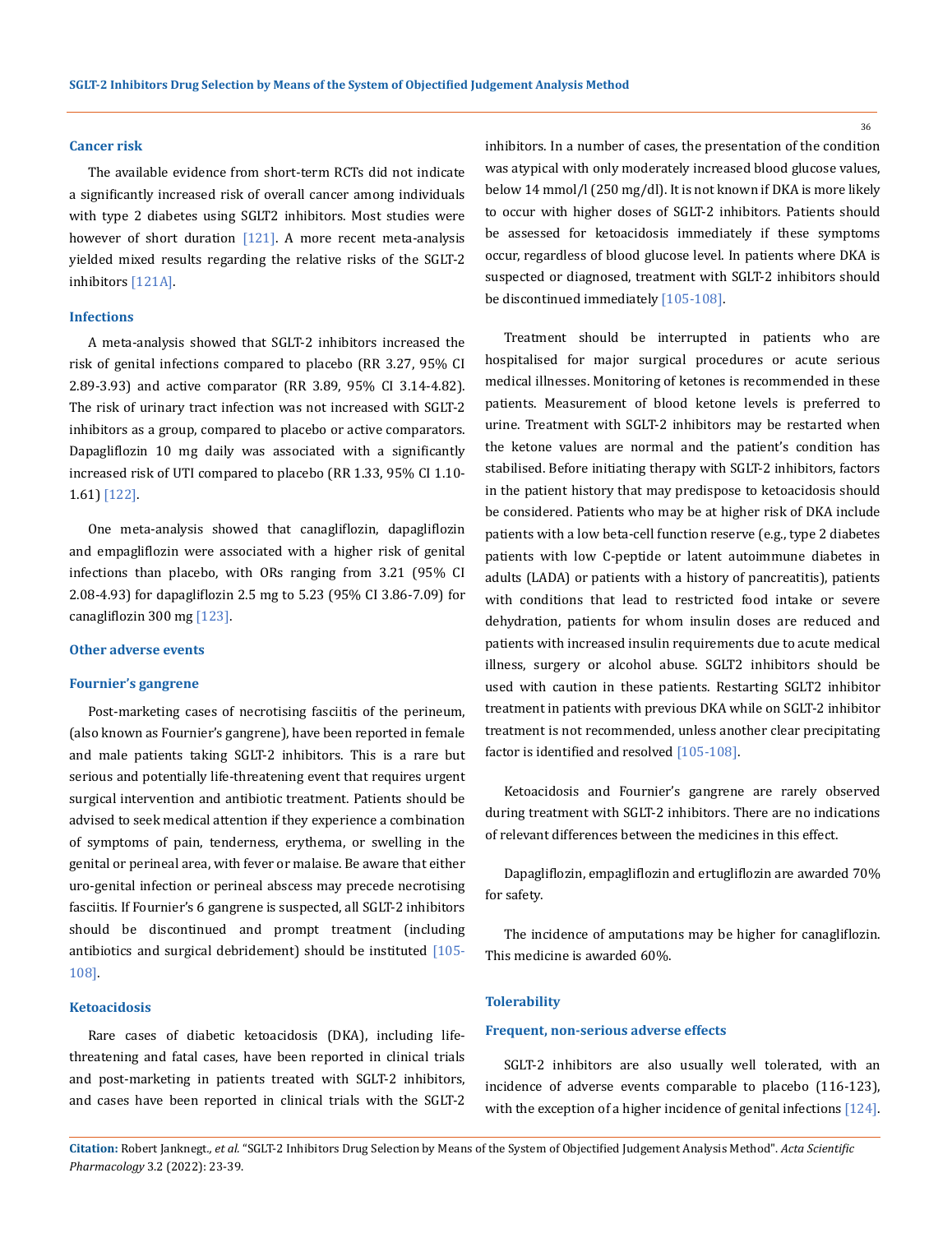#### **Cancer risk**

The available evidence from short-term RCTs did not indicate a significantly increased risk of overall cancer among individuals with type 2 diabetes using SGLT2 inhibitors. Most studies were however of short duration  $[121]$ . A more recent meta-analysis yielded mixed results regarding the relative risks of the SGLT-2 inhibitors [121A].

## **Infections**

A meta-analysis showed that SGLT-2 inhibitors increased the risk of genital infections compared to placebo (RR 3.27, 95% CI 2.89-3.93) and active comparator (RR 3.89, 95% CI 3.14-4.82). The risk of urinary tract infection was not increased with SGLT-2 inhibitors as a group, compared to placebo or active comparators. Dapagliflozin 10 mg daily was associated with a significantly increased risk of UTI compared to placebo (RR 1.33, 95% CI 1.10- 1.61) [122].

One meta-analysis showed that canagliflozin, dapagliflozin and empagliflozin were associated with a higher risk of genital infections than placebo, with ORs ranging from 3.21 (95% CI 2.08-4.93) for dapagliflozin 2.5 mg to 5.23 (95% CI 3.86-7.09) for canagliflozin 300 mg [123].

#### **Other adverse events**

### **Fournier's gangrene**

Post-marketing cases of necrotising fasciitis of the perineum, (also known as Fournier's gangrene), have been reported in female and male patients taking SGLT-2 inhibitors. This is a rare but serious and potentially life-threatening event that requires urgent surgical intervention and antibiotic treatment. Patients should be advised to seek medical attention if they experience a combination of symptoms of pain, tenderness, erythema, or swelling in the genital or perineal area, with fever or malaise. Be aware that either uro-genital infection or perineal abscess may precede necrotising fasciitis. If Fournier's 6 gangrene is suspected, all SGLT-2 inhibitors should be discontinued and prompt treatment (including antibiotics and surgical debridement) should be instituted [105- 108].

### **Ketoacidosis**

Rare cases of diabetic ketoacidosis (DKA), including lifethreatening and fatal cases, have been reported in clinical trials and post-marketing in patients treated with SGLT-2 inhibitors, and cases have been reported in clinical trials with the SGLT-2 inhibitors. In a number of cases, the presentation of the condition was atypical with only moderately increased blood glucose values, below 14 mmol/l (250 mg/dl). It is not known if DKA is more likely to occur with higher doses of SGLT-2 inhibitors. Patients should be assessed for ketoacidosis immediately if these symptoms occur, regardless of blood glucose level. In patients where DKA is suspected or diagnosed, treatment with SGLT-2 inhibitors should be discontinued immediately [105-108].

Treatment should be interrupted in patients who are hospitalised for major surgical procedures or acute serious medical illnesses. Monitoring of ketones is recommended in these patients. Measurement of blood ketone levels is preferred to urine. Treatment with SGLT-2 inhibitors may be restarted when the ketone values are normal and the patient's condition has stabilised. Before initiating therapy with SGLT-2 inhibitors, factors in the patient history that may predispose to ketoacidosis should be considered. Patients who may be at higher risk of DKA include patients with a low beta-cell function reserve (e.g., type 2 diabetes patients with low C-peptide or latent autoimmune diabetes in adults (LADA) or patients with a history of pancreatitis), patients with conditions that lead to restricted food intake or severe dehydration, patients for whom insulin doses are reduced and patients with increased insulin requirements due to acute medical illness, surgery or alcohol abuse. SGLT2 inhibitors should be used with caution in these patients. Restarting SGLT2 inhibitor treatment in patients with previous DKA while on SGLT-2 inhibitor treatment is not recommended, unless another clear precipitating factor is identified and resolved [105-108].

Ketoacidosis and Fournier's gangrene are rarely observed during treatment with SGLT-2 inhibitors. There are no indications of relevant differences between the medicines in this effect.

Dapagliflozin, empagliflozin and ertugliflozin are awarded 70% for safety.

The incidence of amputations may be higher for canagliflozin. This medicine is awarded 60%.

### **Tolerability**

#### **Frequent, non-serious adverse effects**

SGLT-2 inhibitors are also usually well tolerated, with an incidence of adverse events comparable to placebo (116-123), with the exception of a higher incidence of genital infections [124].

**Citation:** Robert Janknegt*., et al.* "SGLT-2 Inhibitors Drug Selection by Means of the System of Objectified Judgement Analysis Method". *Acta Scientific Pharmacology* 3.2 (2022): 23-39.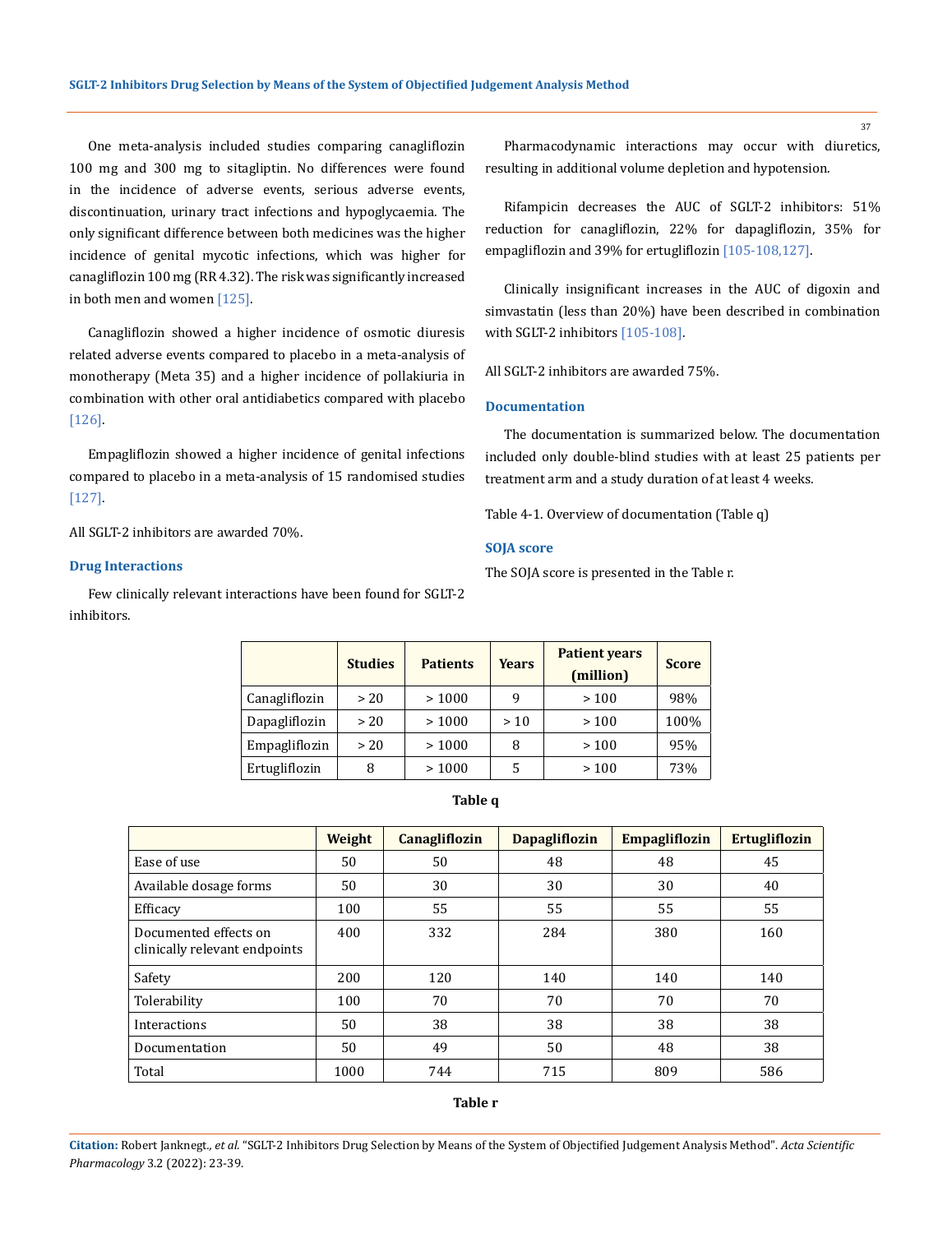One meta-analysis included studies comparing canagliflozin 100 mg and 300 mg to sitagliptin. No differences were found in the incidence of adverse events, serious adverse events, discontinuation, urinary tract infections and hypoglycaemia. The only significant difference between both medicines was the higher incidence of genital mycotic infections, which was higher for canagliflozin 100 mg (RR 4.32). The risk was significantly increased in both men and women [125].

Canagliflozin showed a higher incidence of osmotic diuresis related adverse events compared to placebo in a meta-analysis of monotherapy (Meta 35) and a higher incidence of pollakiuria in combination with other oral antidiabetics compared with placebo [126].

Empagliflozin showed a higher incidence of genital infections compared to placebo in a meta-analysis of 15 randomised studies [127].

All SGLT-2 inhibitors are awarded 70%.

#### **Drug Interactions**

Few clinically relevant interactions have been found for SGLT-2 inhibitors.

Pharmacodynamic interactions may occur with diuretics, resulting in additional volume depletion and hypotension.

Rifampicin decreases the AUC of SGLT-2 inhibitors: 51% reduction for canagliflozin, 22% for dapagliflozin, 35% for empagliflozin and 39% for ertugliflozin [105-108,127].

Clinically insignificant increases in the AUC of digoxin and simvastatin (less than 20%) have been described in combination with SGLT-2 inhibitors [105-108].

All SGLT-2 inhibitors are awarded 75%.

## **Documentation**

The documentation is summarized below. The documentation included only double-blind studies with at least 25 patients per treatment arm and a study duration of at least 4 weeks.

Table 4-1. Overview of documentation (Table q)

### **SOJA score**

The SOJA score is presented in the Table r.

|               | <b>Studies</b> | <b>Patients</b> | <b>Years</b> | <b>Patient years</b><br>(million) | <b>Score</b> |
|---------------|----------------|-----------------|--------------|-----------------------------------|--------------|
| Canagliflozin | >20            | >1000           | 9            | >100                              | 98%          |
| Dapagliflozin | > 20           | >1000           | >10          | >100                              | 100%         |
| Empagliflozin | > 20           | >1000           | 8            | >100                              | 95%          |
| Ertugliflozin |                | >1000           | 5            | >100                              | 73%          |

#### **Table q**

|                                                        | Weight | <b>Canagliflozin</b> | <b>Dapagliflozin</b> | <b>Empagliflozin</b> | <b>Ertugliflozin</b> |
|--------------------------------------------------------|--------|----------------------|----------------------|----------------------|----------------------|
| Ease of use                                            | 50     | 50                   | 48                   | 48                   | 45                   |
| Available dosage forms                                 | 50     | 30                   | 30                   | 30                   | 40                   |
| Efficacy                                               | 100    | 55                   | 55                   | 55                   | 55                   |
| Documented effects on<br>clinically relevant endpoints | 400    | 332                  | 284                  | 380                  | 160                  |
| Safety                                                 | 200    | 120                  | 140                  | 140                  | 140                  |
| Tolerability                                           | 100    | 70                   | 70                   | 70                   | 70                   |
| Interactions                                           | 50     | 38                   | 38                   | 38                   | 38                   |
| Documentation                                          | 50     | 49                   | 50                   | 48                   | 38                   |
| Total                                                  | 1000   | 744                  | 715                  | 809                  | 586                  |

**Table r**

**Citation:** Robert Janknegt*., et al.* "SGLT-2 Inhibitors Drug Selection by Means of the System of Objectified Judgement Analysis Method". *Acta Scientific Pharmacology* 3.2 (2022): 23-39.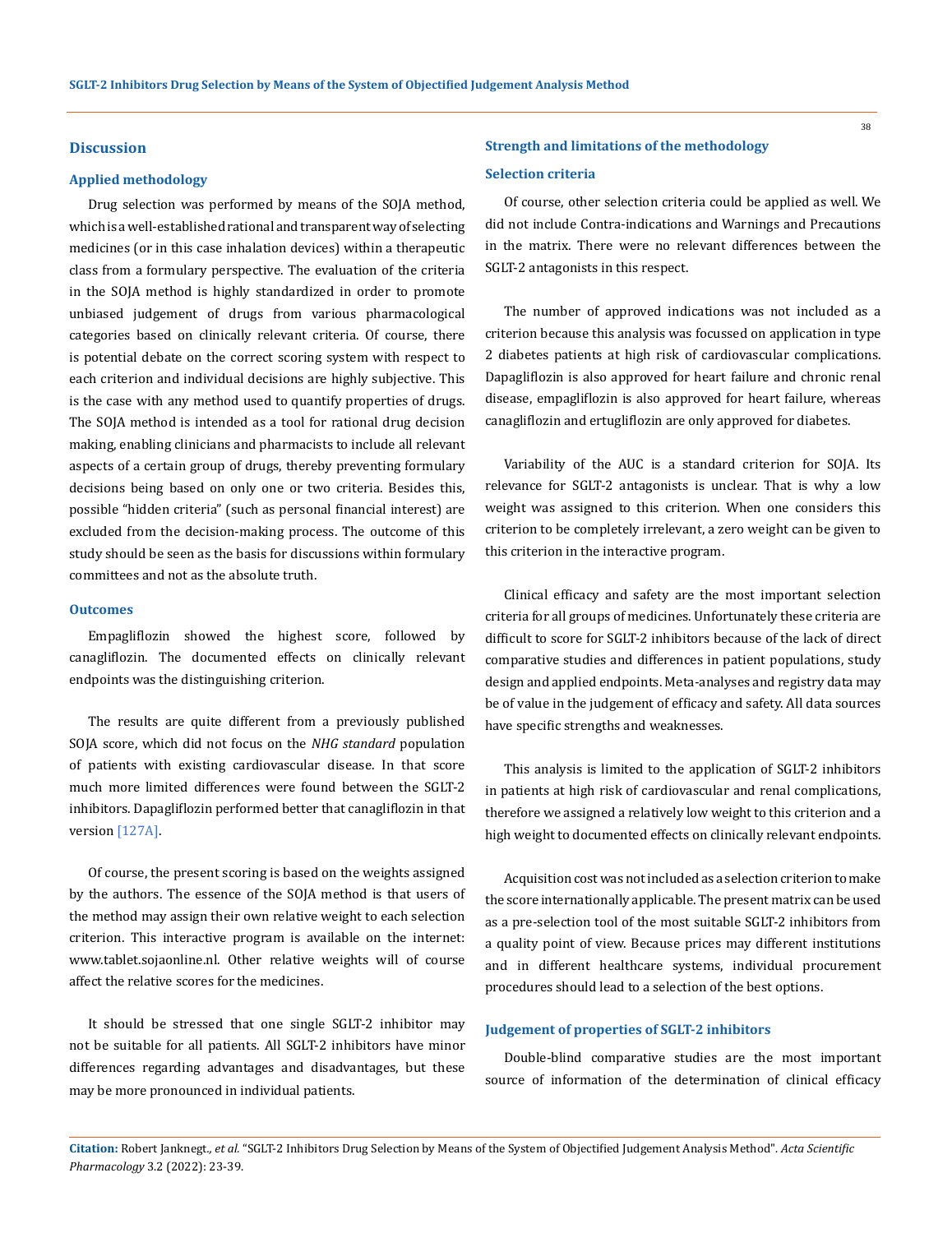#### **Discussion**

#### **Applied methodology**

Drug selection was performed by means of the SOJA method, which is a well-established rational and transparent way of selecting medicines (or in this case inhalation devices) within a therapeutic class from a formulary perspective. The evaluation of the criteria in the SOJA method is highly standardized in order to promote unbiased judgement of drugs from various pharmacological categories based on clinically relevant criteria. Of course, there is potential debate on the correct scoring system with respect to each criterion and individual decisions are highly subjective. This is the case with any method used to quantify properties of drugs. The SOJA method is intended as a tool for rational drug decision making, enabling clinicians and pharmacists to include all relevant aspects of a certain group of drugs, thereby preventing formulary decisions being based on only one or two criteria. Besides this, possible "hidden criteria" (such as personal financial interest) are excluded from the decision-making process. The outcome of this study should be seen as the basis for discussions within formulary committees and not as the absolute truth.

#### **Outcomes**

Empagliflozin showed the highest score, followed by canagliflozin. The documented effects on clinically relevant endpoints was the distinguishing criterion.

The results are quite different from a previously published SOJA score, which did not focus on the *NHG standard* population of patients with existing cardiovascular disease. In that score much more limited differences were found between the SGLT-2 inhibitors. Dapagliflozin performed better that canagliflozin in that version [127A].

Of course, the present scoring is based on the weights assigned by the authors. The essence of the SOJA method is that users of the method may assign their own relative weight to each selection criterion. This interactive program is available on the internet: www.tablet.sojaonline.nl. Other relative weights will of course affect the relative scores for the medicines.

It should be stressed that one single SGLT-2 inhibitor may not be suitable for all patients. All SGLT-2 inhibitors have minor differences regarding advantages and disadvantages, but these may be more pronounced in individual patients.

# **Strength and limitations of the methodology Selection criteria**

Of course, other selection criteria could be applied as well. We did not include Contra-indications and Warnings and Precautions in the matrix. There were no relevant differences between the SGLT-2 antagonists in this respect.

The number of approved indications was not included as a criterion because this analysis was focussed on application in type 2 diabetes patients at high risk of cardiovascular complications. Dapagliflozin is also approved for heart failure and chronic renal disease, empagliflozin is also approved for heart failure, whereas canagliflozin and ertugliflozin are only approved for diabetes.

Variability of the AUC is a standard criterion for SOJA. Its relevance for SGLT-2 antagonists is unclear. That is why a low weight was assigned to this criterion. When one considers this criterion to be completely irrelevant, a zero weight can be given to this criterion in the interactive program.

Clinical efficacy and safety are the most important selection criteria for all groups of medicines. Unfortunately these criteria are difficult to score for SGLT-2 inhibitors because of the lack of direct comparative studies and differences in patient populations, study design and applied endpoints. Meta-analyses and registry data may be of value in the judgement of efficacy and safety. All data sources have specific strengths and weaknesses.

This analysis is limited to the application of SGLT-2 inhibitors in patients at high risk of cardiovascular and renal complications, therefore we assigned a relatively low weight to this criterion and a high weight to documented effects on clinically relevant endpoints.

Acquisition cost was not included as a selection criterion to make the score internationally applicable. The present matrix can be used as a pre-selection tool of the most suitable SGLT-2 inhibitors from a quality point of view. Because prices may different institutions and in different healthcare systems, individual procurement procedures should lead to a selection of the best options.

## **Judgement of properties of SGLT-2 inhibitors**

Double-blind comparative studies are the most important source of information of the determination of clinical efficacy